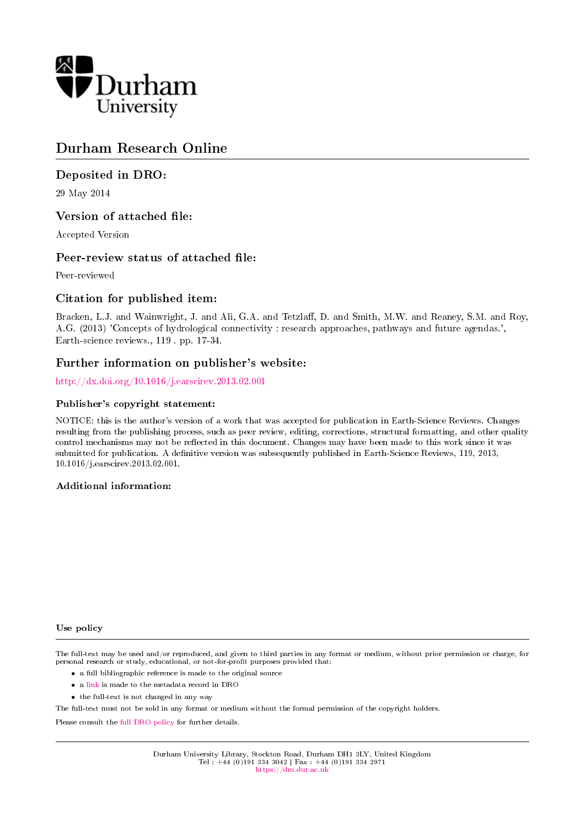

# Durham Research Online

# Deposited in DRO:

29 May 2014

# Version of attached file:

Accepted Version

# Peer-review status of attached file:

Peer-reviewed

# Citation for published item:

Bracken, L.J. and Wainwright, J. and Ali, G.A. and Tetzlaff, D. and Smith, M.W. and Reaney, S.M. and Roy, A.G. (2013) 'Concepts of hydrological connectivity : research approaches, pathways and future agendas.', Earth-science reviews., 119 . pp. 17-34.

# Further information on publisher's website:

<http://dx.doi.org/10.1016/j.earscirev.2013.02.001>

#### Publisher's copyright statement:

NOTICE: this is the author's version of a work that was accepted for publication in Earth-Science Reviews. Changes resulting from the publishing process, such as peer review, editing, corrections, structural formatting, and other quality control mechanisms may not be reflected in this document. Changes may have been made to this work since it was submitted for publication. A definitive version was subsequently published in Earth-Science Reviews, 119, 2013, 10.1016/j.earscirev.2013.02.001.

#### Additional information:

#### Use policy

The full-text may be used and/or reproduced, and given to third parties in any format or medium, without prior permission or charge, for personal research or study, educational, or not-for-profit purposes provided that:

- a full bibliographic reference is made to the original source
- a [link](http://dro.dur.ac.uk/12558/) is made to the metadata record in DRO
- the full-text is not changed in any way

The full-text must not be sold in any format or medium without the formal permission of the copyright holders.

Please consult the [full DRO policy](https://dro.dur.ac.uk/policies/usepolicy.pdf) for further details.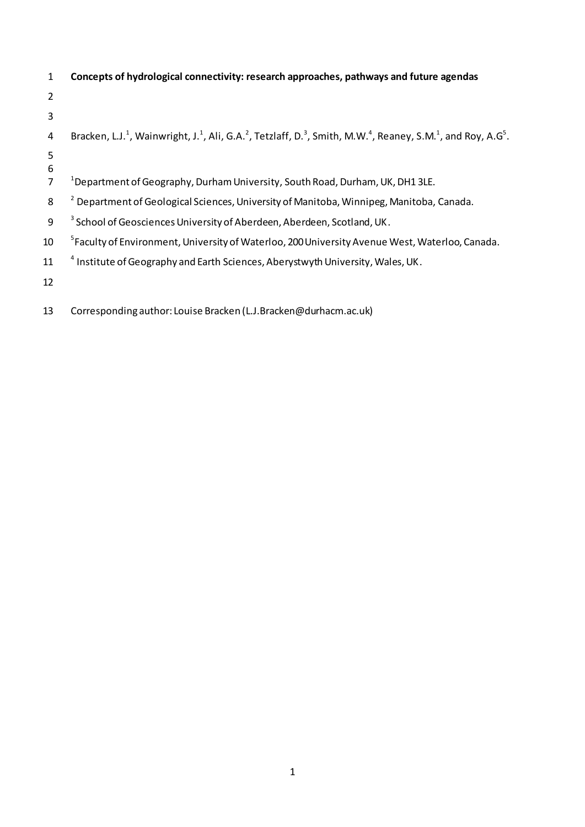| 1      | Concepts of hydrological connectivity: research approaches, pathways and future agendas                                                                                                            |
|--------|----------------------------------------------------------------------------------------------------------------------------------------------------------------------------------------------------|
| 2      |                                                                                                                                                                                                    |
| 3      |                                                                                                                                                                                                    |
| 4      | Bracken, L.J. <sup>1</sup> , Wainwright, J. <sup>1</sup> , Ali, G.A. <sup>2</sup> , Tetzlaff, D. <sup>3</sup> , Smith, M.W. <sup>4</sup> , Reaney, S.M. <sup>1</sup> , and Roy, A.G <sup>5</sup> . |
| 5<br>6 |                                                                                                                                                                                                    |
| 7      | <sup>1</sup> Department of Geography, Durham University, South Road, Durham, UK, DH1 3LE.                                                                                                          |
| 8      | <sup>2</sup> Department of Geological Sciences, University of Manitoba, Winnipeg, Manitoba, Canada.                                                                                                |
| 9      | <sup>3</sup> School of Geosciences University of Aberdeen, Aberdeen, Scotland, UK.                                                                                                                 |
| 10     | <sup>5</sup> Faculty of Environment, University of Waterloo, 200 University Avenue West, Waterloo, Canada.                                                                                         |
| 11     | $4$ Institute of Geography and Earth Sciences, Aberystwyth University, Wales, UK.                                                                                                                  |
| 12     |                                                                                                                                                                                                    |
| 13     | Corresponding author: Louise Bracken (L.J.Bracken@durhacm.ac.uk)                                                                                                                                   |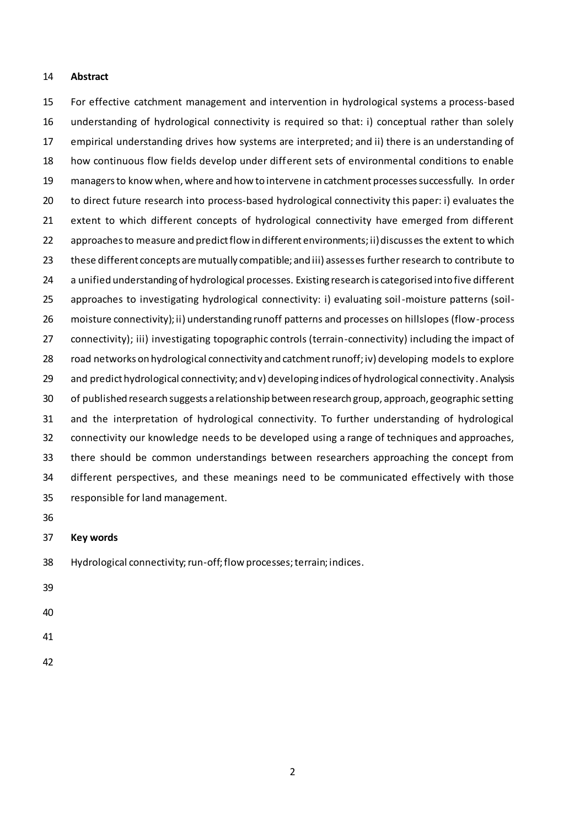#### **Abstract**

 For effective catchment management and intervention in hydrological systems a process-based understanding of hydrological connectivity is required so that: i) conceptual rather than solely empirical understanding drives how systems are interpreted; and ii) there is an understanding of how continuous flow fields develop under different sets of environmental conditions to enable managers to know when, where and how to intervene in catchment processes successfully. In order to direct future research into process-based hydrological connectivity this paper: i) evaluates the extent to which different concepts of hydrological connectivity have emerged from different approaches to measure and predict flow in different environments; ii) discusses the extent to which these different concepts are mutually compatible; and iii) assesses further research to contribute to a unified understanding of hydrological processes. Existing research is categorised into five different approaches to investigating hydrological connectivity: i) evaluating soil-moisture patterns (soil- moisture connectivity); ii) understanding runoff patterns and processes on hillslopes (flow-process connectivity); iii) investigating topographic controls (terrain-connectivity) including the impact of road networks on hydrological connectivity and catchment runoff; iv) developing models to explore and predict hydrological connectivity; and v) developing indices of hydrological connectivity. Analysis of published research suggests a relationship between research group, approach, geographic setting and the interpretation of hydrological connectivity. To further understanding of hydrological connectivity our knowledge needs to be developed using a range of techniques and approaches, there should be common understandings between researchers approaching the concept from different perspectives, and these meanings need to be communicated effectively with those responsible for land management.

## **Key words**

| 38 |  |  |  | Hydrological connectivity; run-off; flow processes; terrain; indices. |
|----|--|--|--|-----------------------------------------------------------------------|
|----|--|--|--|-----------------------------------------------------------------------|

- 
- 
- 
- 
-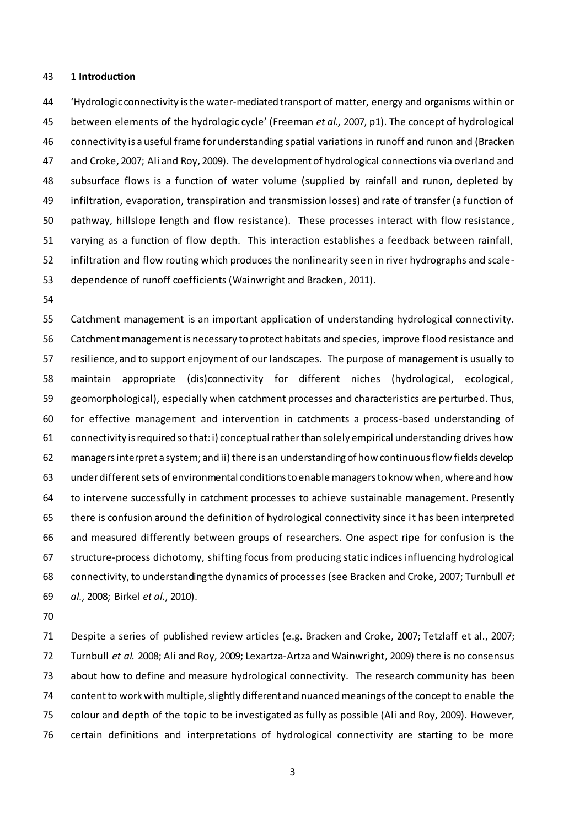#### **1 Introduction**

 'Hydrologic connectivity is the water-mediated transport of matter, energy and organisms within or between elements of the hydrologic cycle' (Freeman *et al.,* 2007, p1). The concept of hydrological connectivity is a useful frame for understanding spatial variations in runoff and runon and (Bracken and Croke, 2007; Ali and Roy, 2009). The development of hydrological connections via overland and subsurface flows is a function of water volume (supplied by rainfall and runon, depleted by infiltration, evaporation, transpiration and transmission losses) and rate of transfer (a function of pathway, hillslope length and flow resistance). These processes interact with flow resistance, varying as a function of flow depth. This interaction establishes a feedback between rainfall, infiltration and flow routing which produces the nonlinearity seen in river hydrographs and scale-dependence of runoff coefficients (Wainwright and Bracken, 2011).

 Catchment management is an important application of understanding hydrological connectivity. Catchment management is necessary to protect habitats and species, improve flood resistance and resilience, and to support enjoyment of our landscapes. The purpose of management is usually to maintain appropriate (dis)connectivity for different niches (hydrological, ecological, geomorphological), especially when catchment processes and characteristics are perturbed. Thus, for effective management and intervention in catchments a process-based understanding of connectivity is required so that: i) conceptual rather than solely empirical understanding drives how managers interpret a system; and ii) there is an understanding of how continuous flow fields develop under different sets of environmental conditions to enable managers to know when, where and how to intervene successfully in catchment processes to achieve sustainable management. Presently there is confusion around the definition of hydrological connectivity since it has been interpreted and measured differently between groups of researchers. One aspect ripe for confusion is the structure-process dichotomy, shifting focus from producing static indices influencing hydrological connectivity, to understanding the dynamics of processes (see Bracken and Croke, 2007; Turnbull *et al*., 2008; Birkel *et al*., 2010).

 Despite a series of published review articles (e.g. Bracken and Croke, 2007; Tetzlaff et al., 2007; Turnbull *et al.* 2008; Ali and Roy, 2009; Lexartza-Artza and Wainwright, 2009) there is no consensus about how to define and measure hydrological connectivity. The research community has been content to work with multiple, slightly different and nuanced meanings of the concept to enable the colour and depth of the topic to be investigated as fully as possible (Ali and Roy, 2009). However, certain definitions and interpretations of hydrological connectivity are starting to be more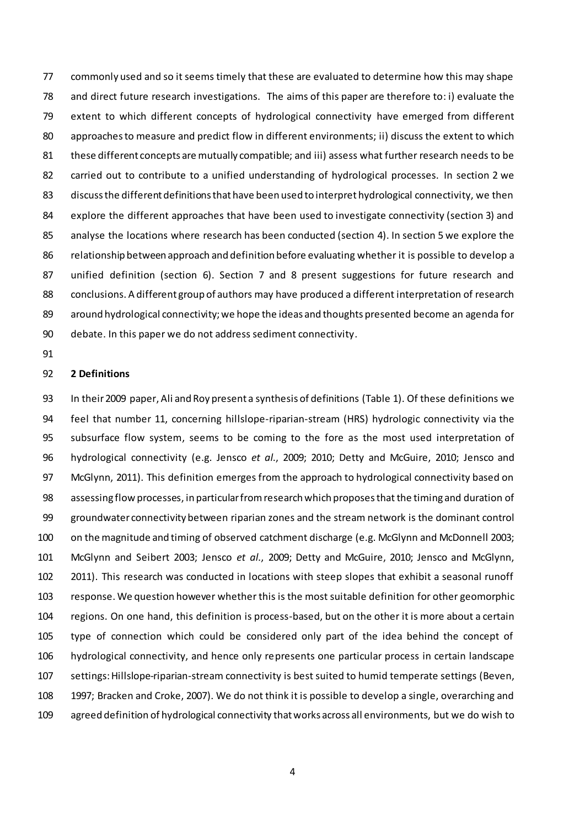commonly used and so it seems timely that these are evaluated to determine how this may shape and direct future research investigations. The aims of this paper are therefore to: i) evaluate the extent to which different concepts of hydrological connectivity have emerged from different approaches to measure and predict flow in different environments; ii) discuss the extent to which these different concepts are mutually compatible; and iii) assess what further research needs to be carried out to contribute to a unified understanding of hydrological processes. In section 2 we discuss the different definitions that have been used to interpret hydrological connectivity, we then explore the different approaches that have been used to investigate connectivity (section 3) and analyse the locations where research has been conducted (section 4). In section 5 we explore the relationship between approach and definition before evaluating whether it is possible to develop a unified definition (section 6). Section 7 and 8 present suggestions for future research and 88 conclusions. A different group of authors may have produced a different interpretation of research 89 around hydrological connectivity; we hope the ideas and thoughts presented become an agenda for debate. In this paper we do not address sediment connectivity.

#### **2 Definitions**

 In their 2009 paper, Ali and Roy present a synthesis of definitions (Table 1). Of these definitions we feel that number 11, concerning hillslope-riparian-stream (HRS) hydrologic connectivity via the subsurface flow system, seems to be coming to the fore as the most used interpretation of hydrological connectivity (e.g. Jensco *et al*., 2009; 2010; Detty and McGuire, 2010; Jensco and McGlynn, 2011). This definition emerges from the approach to hydrological connectivity based on assessing flow processes, in particular from research which proposes that the timing and duration of groundwater connectivity between riparian zones and the stream network is the dominant control on the magnitude and timing of observed catchment discharge (e.g. McGlynn and McDonnell 2003; McGlynn and Seibert 2003; Jensco *et al*., 2009; Detty and McGuire, 2010; Jensco and McGlynn, 2011). This research was conducted in locations with steep slopes that exhibit a seasonal runoff response. We question however whether this is the most suitable definition for other geomorphic regions. On one hand, this definition is process-based, but on the other it is more about a certain type of connection which could be considered only part of the idea behind the concept of hydrological connectivity, and hence only represents one particular process in certain landscape settings:Hillslope-riparian-stream connectivity is best suited to humid temperate settings (Beven, 1997; Bracken and Croke, 2007). We do not think it is possible to develop a single, overarching and agreed definition of hydrological connectivity that works across all environments, but we do wish to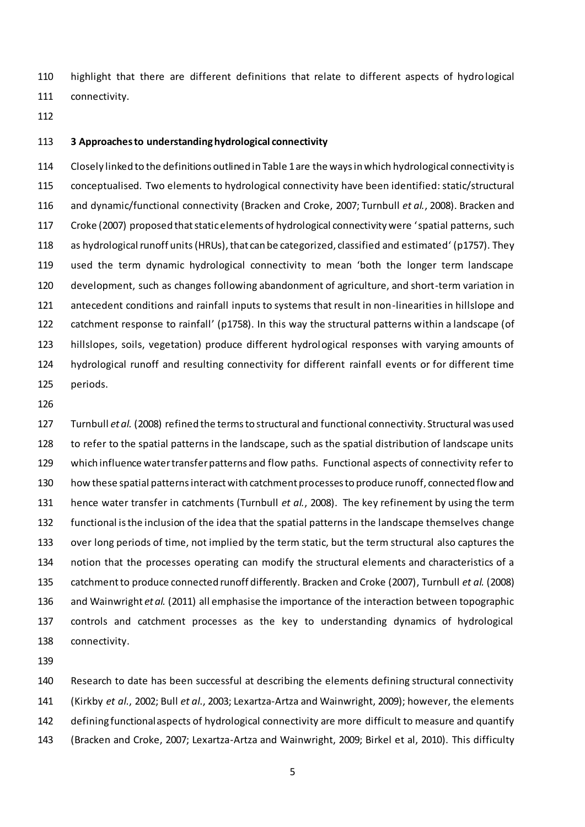highlight that there are different definitions that relate to different aspects of hydrological connectivity.

## **3 Approaches to understanding hydrological connectivity**

 Closely linked to the definitions outlined in Table 1 are the ways in which hydrological connectivity is conceptualised. Two elements to hydrological connectivity have been identified: static/structural and dynamic/functional connectivity (Bracken and Croke, 2007; Turnbull *et al.*, 2008). Bracken and Croke (2007) proposed that static elements of hydrological connectivity were 'spatial patterns, such as hydrological runoff units (HRUs), that can be categorized, classified and estimated' (p1757). They used the term dynamic hydrological connectivity to mean 'both the longer term landscape development, such as changes following abandonment of agriculture, and short-term variation in antecedent conditions and rainfall inputs to systems that result in non-linearities in hillslope and catchment response to rainfall' (p1758). In this way the structural patterns within a landscape (of hillslopes, soils, vegetation) produce different hydrological responses with varying amounts of hydrological runoff and resulting connectivity for different rainfall events or for different time periods.

 Turnbull *et al.* (2008) refined the terms to structural and functional connectivity. Structural was used to refer to the spatial patterns in the landscape, such as the spatial distribution of landscape units which influence water transfer patterns and flow paths. Functional aspects of connectivity refer to how these spatial patterns interact with catchment processes to produce runoff, connected flow and hence water transfer in catchments (Turnbull *et al.*, 2008). The key refinement by using the term functional is the inclusion of the idea that the spatial patterns in the landscape themselves change over long periods of time, not implied by the term static, but the term structural also captures the notion that the processes operating can modify the structural elements and characteristics of a catchment to produce connected runoff differently. Bracken and Croke (2007), Turnbull *et al.* (2008) and Wainwright *et al.* (2011) all emphasise the importance of the interaction between topographic controls and catchment processes as the key to understanding dynamics of hydrological connectivity.

 Research to date has been successful at describing the elements defining structural connectivity (Kirkby *et al*., 2002; Bull *et al*., 2003; Lexartza-Artza and Wainwright, 2009); however, the elements defining functional aspects of hydrological connectivity are more difficult to measure and quantify (Bracken and Croke, 2007; Lexartza-Artza and Wainwright, 2009; Birkel et al, 2010). This difficulty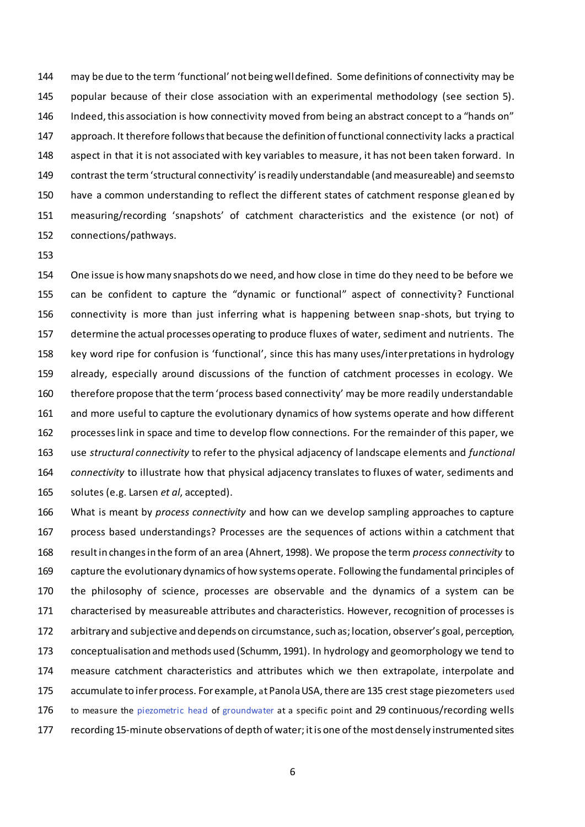may be due to the term 'functional' not being well defined. Some definitions of connectivity may be popular because of their close association with an experimental methodology (see section 5). Indeed, this association is how connectivity moved from being an abstract concept to a "hands on" approach. It therefore follows that because the definition of functional connectivity lacks a practical aspect in that it is not associated with key variables to measure, it has not been taken forward. In contrast the term 'structural connectivity' is readily understandable (and measureable) and seems to have a common understanding to reflect the different states of catchment response gleaned by measuring/recording 'snapshots' of catchment characteristics and the existence (or not) of connections/pathways.

 One issue is how many snapshots do we need, and how close in time do they need to be before we can be confident to capture the "dynamic or functional" aspect of connectivity? Functional connectivity is more than just inferring what is happening between snap-shots, but trying to determine the actual processes operating to produce fluxes of water, sediment and nutrients. The key word ripe for confusion is 'functional', since this has many uses/interpretations in hydrology already, especially around discussions of the function of catchment processes in ecology. We therefore propose that the term 'process based connectivity' may be more readily understandable and more useful to capture the evolutionary dynamics of how systems operate and how different processes link in space and time to develop flow connections. For the remainder of this paper, we use *structural connectivity* to refer to the physical adjacency of landscape elements and *functional connectivity* to illustrate how that physical adjacency translates to fluxes of water, sediments and solutes (e.g. Larsen *et al*, accepted).

 What is meant by *process connectivity* and how can we develop sampling approaches to capture process based understandings? Processes are the sequences of actions within a catchment that result in changes in the form of an area (Ahnert, 1998). We propose the term *process connectivity* to capture the evolutionary dynamics of how systems operate. Following the fundamental principles of the philosophy of science, processes are observable and the dynamics of a system can be characterised by measureable attributes and characteristics. However, recognition of processes is arbitrary and subjective and depends on circumstance, such as;location, observer's goal, perception, conceptualisation and methods used (Schumm, 1991). In hydrology and geomorphology we tend to measure catchment characteristics and attributes which we then extrapolate, interpolate and accumulate to infer process. For example, at PanolaUSA, there are 135 crest stage piezometers used to measure the [piezometric head](http://en.wikipedia.org/wiki/Piezometric_head) of [groundwater](http://en.wikipedia.org/wiki/Groundwater) at a specific point and 29 continuous/recording wells 177 recording 15-minute observations of depth of water; it is one of the most densely instrumented sites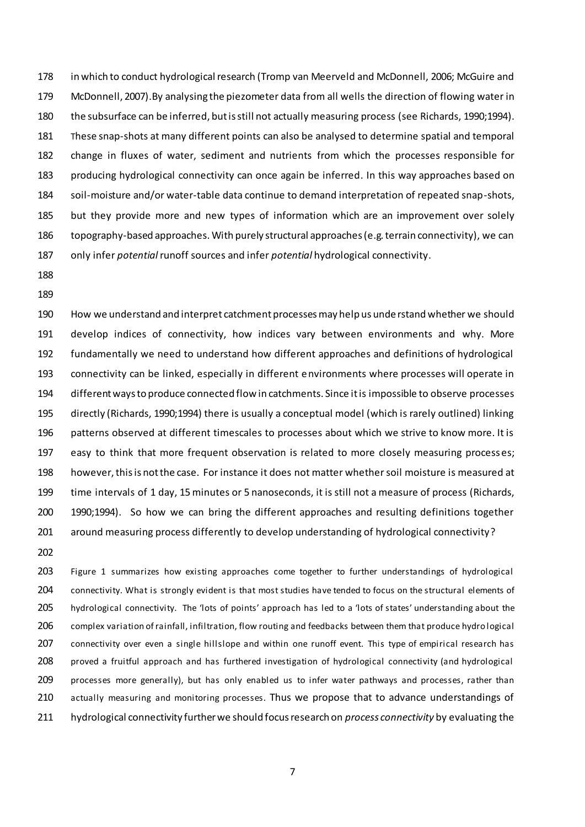in which to conduct hydrological research (Tromp van Meerveld and McDonnell, 2006; McGuire and McDonnell, 2007).By analysing the piezometer data from all wells the direction of flowing water in the subsurface can be inferred, but is still not actually measuring process (see Richards, 1990;1994). These snap-shots at many different points can also be analysed to determine spatial and temporal change in fluxes of water, sediment and nutrients from which the processes responsible for producing hydrological connectivity can once again be inferred. In this way approaches based on soil-moisture and/or water-table data continue to demand interpretation of repeated snap-shots, but they provide more and new types of information which are an improvement over solely topography-based approaches. With purely structural approaches (e.g. terrain connectivity), we can only infer *potential* runoff sources and infer *potential* hydrological connectivity.

 How we understand and interpret catchment processes may help us understand whether we should develop indices of connectivity, how indices vary between environments and why. More fundamentally we need to understand how different approaches and definitions of hydrological connectivity can be linked, especially in different environments where processes will operate in different ways to produce connected flow in catchments. Since it is impossible to observe processes directly (Richards, 1990;1994) there is usually a conceptual model (which is rarely outlined) linking patterns observed at different timescales to processes about which we strive to know more. It is easy to think that more frequent observation is related to more closely measuring process es; however,this is not the case. For instance it does not matter whether soil moisture is measured at time intervals of 1 day, 15 minutes or 5 nanoseconds, it is still not a measure of process (Richards, 1990;1994). So how we can bring the different approaches and resulting definitions together around measuring process differently to develop understanding of hydrological connectivity?

 Figure 1 summarizes how existing approaches come together to further understandings of hydrological connectivity. What is strongly evident is that most studies have tended to focus on the structural elements of 205 hydrological connectivity. The 'lots of points' approach has led to a 'lots of states' understanding about the complex variation of rainfall, infiltration, flow routing and feedbacks between them that produce hydro logical connectivity over even a single hillslope and within one runoff event. This type of empirical research has proved a fruitful approach and has furthered investigation of hydrological connectivity (and hydrological processes more generally), but has only enabled us to infer water pathways and processes, rather than actually measuring and monitoring processes. Thus we propose that to advance understandings of hydrological connectivity further we should focus research on *process connectivity* by evaluating the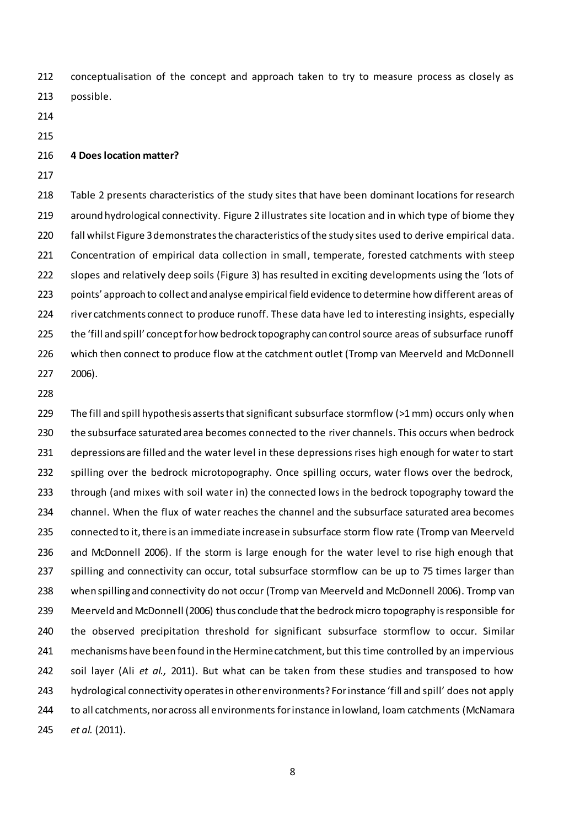conceptualisation of the concept and approach taken to try to measure process as closely as possible.

- 
- 

## **4 Does location matter?**

 Table 2 presents characteristics of the study sites that have been dominant locations for research around hydrological connectivity. Figure 2 illustrates site location and in which type of biome they fall whilst Figure 3demonstrates the characteristics of the study sites used to derive empirical data. Concentration of empirical data collection in small, temperate, forested catchments with steep slopes and relatively deep soils (Figure 3) has resulted in exciting developments using the 'lots of 223 points' approach to collect and analyse empirical field evidence to determine how different areas of river catchments connect to produce runoff. These data have led to interesting insights, especially the 'fill and spill' concept for how bedrock topography can control source areas of subsurface runoff which then connect to produce flow at the catchment outlet (Tromp van Meerveld and McDonnell 2006).

 The fill and spill hypothesis asserts that significant subsurface stormflow (>1 mm) occurs only when the subsurface saturated area becomes connected to the river channels. This occurs when bedrock depressions are filled and the water level in these depressions rises high enough for water to start 232 spilling over the bedrock microtopography. Once spilling occurs, water flows over the bedrock, through (and mixes with soil water in) the connected lows in the bedrock topography toward the channel. When the flux of water reaches the channel and the subsurface saturated area becomes connected to it, there is an immediate increase in subsurface storm flow rate (Tromp van Meerveld and McDonnell 2006). If the storm is large enough for the water level to rise high enough that spilling and connectivity can occur, total subsurface stormflow can be up to 75 times larger than when spilling and connectivity do not occur (Tromp van Meerveld and McDonnell 2006). Tromp van Meerveld and McDonnell (2006) thus conclude that the bedrock micro topography is responsible for the observed precipitation threshold for significant subsurface stormflow to occur. Similar mechanisms have been found in the Hermine catchment, but this time controlled by an impervious soil layer (Ali *et al.,* 2011). But what can be taken from these studies and transposed to how hydrological connectivity operates in other environments? For instance 'fill and spill' does not apply to all catchments, nor across all environmentsfor instance in lowland, loam catchments (McNamara *et al.* (2011).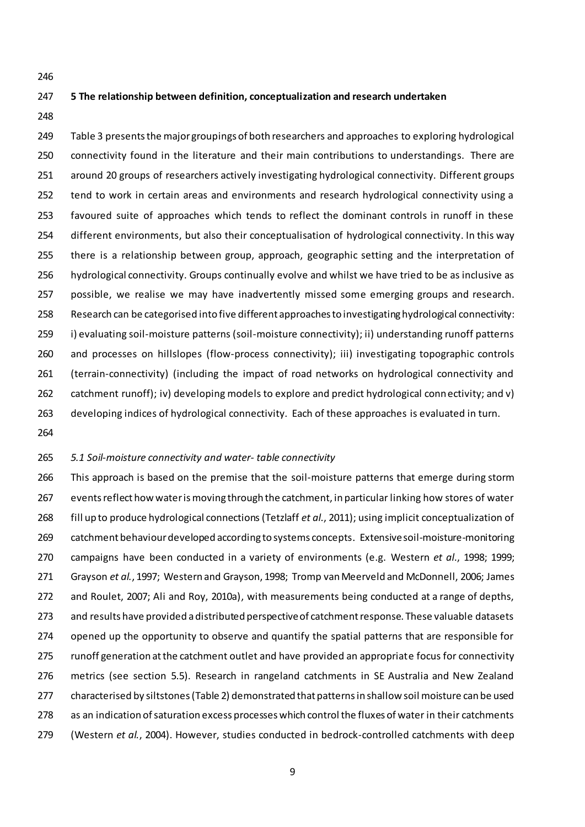#### **5 The relationship between definition, conceptualization and research undertaken**

 Table 3 presents the major groupings of both researchers and approaches to exploring hydrological 250 connectivity found in the literature and their main contributions to understandings. There are around 20 groups of researchers actively investigating hydrological connectivity. Different groups tend to work in certain areas and environments and research hydrological connectivity using a favoured suite of approaches which tends to reflect the dominant controls in runoff in these different environments, but also their conceptualisation of hydrological connectivity. In this way there is a relationship between group, approach, geographic setting and the interpretation of hydrological connectivity. Groups continually evolve and whilst we have tried to be as inclusive as possible, we realise we may have inadvertently missed some emerging groups and research. Research can be categorised into five different approaches to investigating hydrological connectivity: i) evaluating soil-moisture patterns (soil-moisture connectivity); ii) understanding runoff patterns and processes on hillslopes (flow-process connectivity); iii) investigating topographic controls (terrain-connectivity) (including the impact of road networks on hydrological connectivity and catchment runoff); iv) developing models to explore and predict hydrological connectivity; and v) developing indices of hydrological connectivity. Each of these approaches is evaluated in turn.

## *5.1 Soil-moisture connectivity and water- table connectivity*

 This approach is based on the premise that the soil-moisture patterns that emerge during storm events reflect how water is moving through the catchment, in particular linking how stores of water fill up to produce hydrological connections(Tetzlaff *et al*., 2011); using implicit conceptualization of catchment behaviour developed according to systems concepts. Extensive soil-moisture-monitoring campaigns have been conducted in a variety of environments (e.g. Western *et al*., 1998; 1999; Grayson *et al.*, 1997; Western and Grayson, 1998; Tromp van Meerveld and McDonnell, 2006; James and Roulet, 2007; Ali and Roy, 2010a), with measurements being conducted at a range of depths, and results have provided a distributed perspective of catchment response. These valuable datasets opened up the opportunity to observe and quantify the spatial patterns that are responsible for runoff generation at the catchment outlet and have provided an appropriate focus for connectivity metrics (see section 5.5). Research in rangeland catchments in SE Australia and New Zealand characterised by siltstones (Table 2) demonstrated that patterns in shallow soil moisture can be used as an indication of saturation excess processes which control the fluxes of water in their catchments (Western *et al.*, 2004). However, studies conducted in bedrock-controlled catchments with deep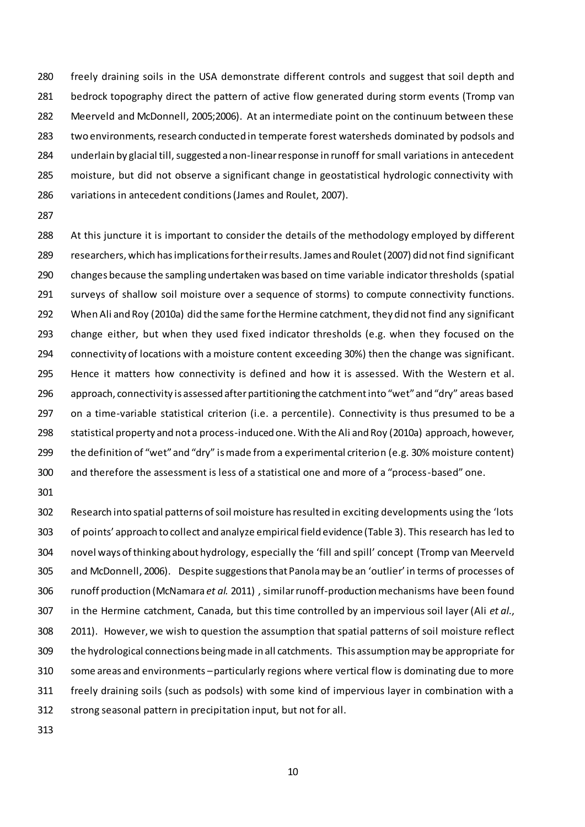freely draining soils in the USA demonstrate different controls and suggest that soil depth and bedrock topography direct the pattern of active flow generated during storm events (Tromp van Meerveld and McDonnell, 2005;2006). At an intermediate point on the continuum between these two environments, research conducted in temperate forest watersheds dominated by podsols and underlain by glacial till, suggested a non-linear response in runoff for small variations in antecedent moisture, but did not observe a significant change in geostatistical hydrologic connectivity with variations in antecedent conditions(James and Roulet, 2007).

 At this juncture it is important to consider the details of the methodology employed by different researchers, which has implications for theirresults. James and Roulet (2007) did not find significant changes because the sampling undertaken was based on time variable indicator thresholds (spatial surveys of shallow soil moisture over a sequence of storms) to compute connectivity functions. When Ali and Roy (2010a) did the same for the Hermine catchment, they did not find any significant change either, but when they used fixed indicator thresholds (e.g. when they focused on the connectivity of locations with a moisture content exceeding 30%) then the change was significant. Hence it matters how connectivity is defined and how it is assessed. With the Western et al. approach, connectivity is assessed after partitioning the catchment into "wet" and "dry" areas based on a time-variable statistical criterion (i.e. a percentile). Connectivity is thus presumed to be a statistical property and not a process-induced one. With the Ali and Roy (2010a) approach, however, the definition of "wet" and "dry" is made from a experimental criterion (e.g. 30% moisture content) and therefore the assessment is less of a statistical one and more of a "process-based" one.

 Research into spatial patterns of soil moisture has resulted in exciting developments using the 'lots of points' approach to collect and analyze empirical field evidence (Table 3). This research has led to novel ways of thinking about hydrology, especially the 'fill and spill' concept (Tromp van Meerveld and McDonnell, 2006). Despite suggestions that Panola may be an 'outlier' in terms of processes of runoff production (McNamara *et al.* 2011) , similar runoff-production mechanisms have been found in the Hermine catchment, Canada, but this time controlled by an impervious soil layer (Ali *et al*., 2011). However, we wish to question the assumption that spatial patterns of soil moisture reflect the hydrological connections being made in all catchments. This assumption may be appropriate for some areas and environments –particularly regions where vertical flow is dominating due to more freely draining soils (such as podsols) with some kind of impervious layer in combination with a strong seasonal pattern in precipitation input, but not for all.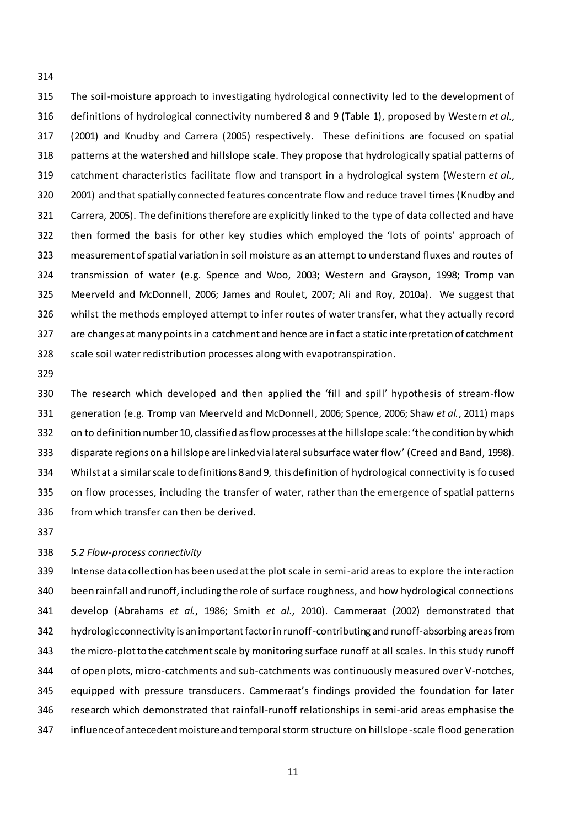The soil-moisture approach to investigating hydrological connectivity led to the development of definitions of hydrological connectivity numbered 8 and 9 (Table 1), proposed by Western *et al*., (2001) and [Knudby and Carrera \(2005\)](http://onlinelibrary.wiley.com/doi/10.1111/j.1749-8198.2008.00180.x/full#b45) respectively. These definitions are focused on spatial patterns at the watershed and hillslope scale. They propose that hydrologically spatial patterns of catchment characteristics facilitate flow and transport in a hydrological system (Western *et al*., 2001) and that spatially connected features concentrate flow and reduce travel times [\(Knudby and](http://onlinelibrary.wiley.com/doi/10.1111/j.1749-8198.2008.00180.x/full#b45)  [Carrera, 2005\).](http://onlinelibrary.wiley.com/doi/10.1111/j.1749-8198.2008.00180.x/full#b45) The definitions therefore are explicitly linked to the type of data collected and have then formed the basis for other key studies which employed the 'lots of points' approach of measurement of spatial variation in soil moisture as an attempt to understand fluxes and routes of transmission of water (e.g. Spence and Woo, 2003; Western and Grayson, 1998; Tromp van Meerveld and McDonnell, 2006; James and Roulet, 2007; Ali and Roy, 2010a). We suggest that whilst the methods employed attempt to infer routes of water transfer, what they actually record are changes at many points in a catchment and hence are in fact a static interpretation of catchment scale soil water redistribution processes along with evapotranspiration.

 The research which developed and then applied the 'fill and spill' hypothesis of stream-flow generation (e.g. Tromp van Meerveld and McDonnell, 2006; Spence, 2006; Shaw *et al.*, 2011) maps on to definition number 10, classified as flow processes at the hillslope scale: 'the condition by which disparate regions on a hillslope are linked via lateral subsurface water flow' (Creed and Band, 1998). Whilst at a similar scale to definitions 8 and 9, this definition of hydrological connectivity is focused on flow processes, including the transfer of water, rather than the emergence of spatial patterns from which transfer can then be derived.

## *5.2 Flow-process connectivity*

 Intense data collection has been used at the plot scale in semi-arid areas to explore the interaction been rainfall and runoff, including the role of surface roughness, and how hydrological connections develop (Abrahams *et al.*, 1986; Smith *et al*., 2010). Cammeraat (2002) demonstrated that hydrologic connectivity is an important factor in runoff-contributing and runoff-absorbing areas from 343 the micro-plot to the catchment scale by monitoring surface runoff at all scales. In this study runoff of open plots, micro-catchments and sub-catchments was continuously measured over V-notches, equipped with pressure transducers. Cammeraat's findings provided the foundation for later research which demonstrated that rainfall-runoff relationships in semi-arid areas emphasise the influence of antecedent moisture and temporal storm structure on hillslope-scale flood generation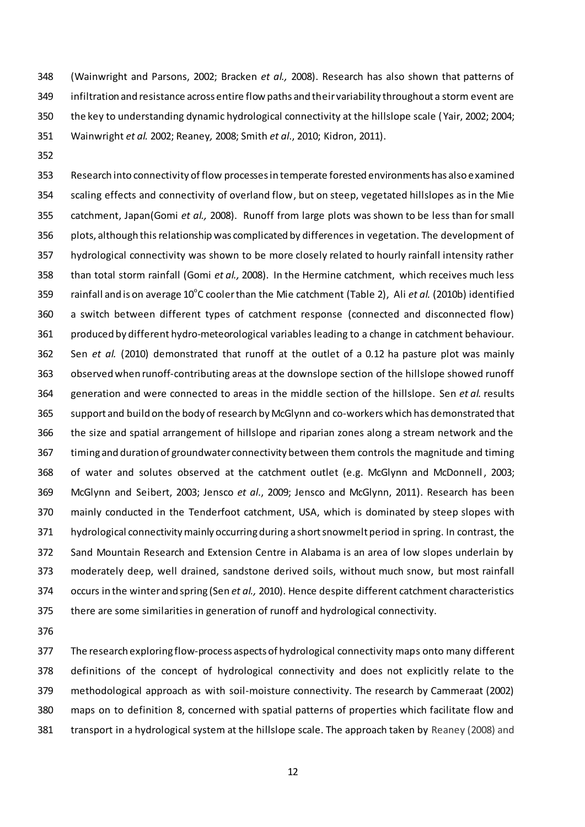(Wainwright and Parsons, 2002; Bracken *et al.,* 2008). Research has also shown that patterns of infiltration and resistance across entire flow paths and their variability throughout a storm event are the key to understanding dynamic hydrological connectivity at the hillslope scale ( Yair, 2002; 2004; Wainwright *et al.* 2002; Reaney*,* 2008; Smith *et al*., 2010; Kidron, 2011).

 Research into connectivity of flow processes in temperate forested environments has also examined scaling effects and connectivity of overland flow, but on steep, vegetated hillslopes as in the Mie catchment, Japan(Gomi *et al.,* 2008). Runoff from large plots was shown to be less than for small plots, although this relationship was complicated by differences in vegetation. The development of hydrological connectivity was shown to be more closely related to hourly rainfall intensity rather than total storm rainfall (Gomi *et al.,* 2008). In the Hermine catchment, which receives much less 359 rainfall and is on average 10°C cooler than the Mie catchment (Table 2), Ali *et al.* (2010b) identified a switch between different types of catchment response (connected and disconnected flow) produced by different hydro-meteorological variables leading to a change in catchment behaviour. Sen *et al.* (2010) demonstrated that runoff at the outlet of a 0.12 ha pasture plot was mainly observed when runoff-contributing areas at the downslope section of the hillslope showed runoff generation and were connected to areas in the middle section of the hillslope. Sen *et al.* results support and build on the body of research by McGlynn and co-workers which has demonstrated that the size and spatial arrangement of hillslope and riparian zones along a stream network and the timing and duration of groundwater connectivity between them controls the magnitude and timing 368 of water and solutes observed at the catchment outlet (e.g. McGlynn and McDonnell, 2003; McGlynn and Seibert, 2003; Jensco *et al*., 2009; Jensco and McGlynn, 2011). Research has been mainly conducted in the Tenderfoot catchment, USA, which is dominated by steep slopes with hydrological connectivity mainly occurring during a short snowmelt period in spring. In contrast, the Sand Mountain Research and Extension Centre in Alabama is an area of low slopes underlain by moderately deep, well drained, sandstone derived soils, without much snow, but most rainfall occurs in the winter and spring (Sen *et al.,* 2010). Hence despite different catchment characteristics there are some similarities in generation of runoff and hydrological connectivity.

 The research exploring flow-process aspects of hydrological connectivity maps onto many different definitions of the concept of hydrological connectivity and does not explicitly relate to the methodological approach as with soil-moisture connectivity. The research by Cammeraat (2002) maps on to definition 8, concerned with spatial patterns of properties which facilitate flow and transport in a hydrological system at the hillslope scale. The approach taken by Reaney (2008) and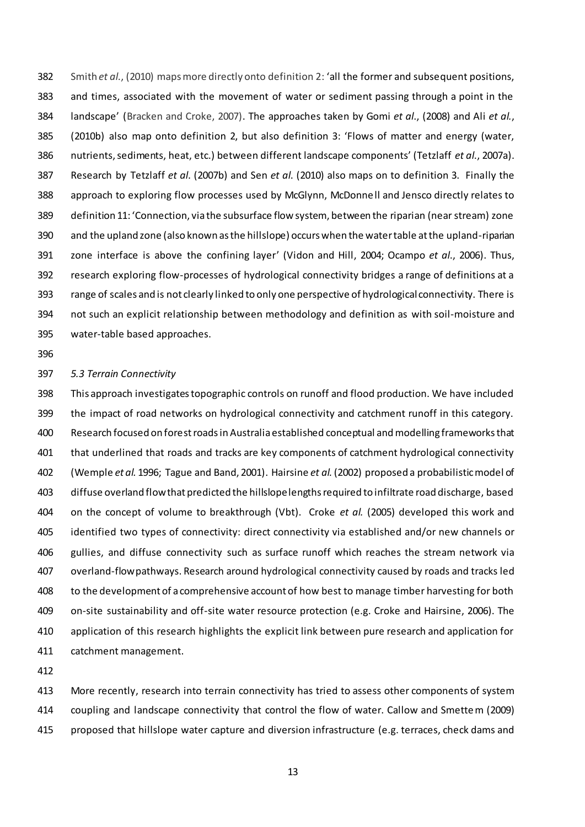Smith *et al*., (2010) maps more directly onto definition 2: 'all the former and subsequent positions, and times, associated with the movement of water or sediment passing through a point in the landscape' (Bracken and Croke, 2007). The approaches taken by Gomi *et al*., (2008) and Ali *et al.*, (2010b) also map onto definition 2, but also definition 3: 'Flows of matter and energy (water, nutrients, sediments, heat, etc.) between different landscape components' (Tetzlaff *et al*., 2007a). Research by Tetzlaff *et al*. (2007b) and Sen *et al*. (2010) also maps on to definition 3. Finally the approach to exploring flow processes used by McGlynn, McDonnell and Jensco directly relates to definition 11:'Connection, via the subsurface flow system, between the riparian (near stream) zone and the upland zone (also known as the hillslope) occurs when the water table at the upland-riparian zone interface is above the confining layer' (Vidon and Hill, 2004; Ocampo *et al*., 2006). Thus, research exploring flow-processes of hydrological connectivity bridges a range of definitions at a range of scales and is not clearly linked to only one perspective of hydrological connectivity. There is not such an explicit relationship between methodology and definition as with soil-moisture and water-table based approaches.

#### *5.3 Terrain Connectivity*

 This approach investigates topographic controls on runoff and flood production. We have included the impact of road networks on hydrological connectivity and catchment runoff in this category. Research focused on forest roads in Australia established conceptual and modelling frameworks that that underlined that roads and tracks are key components of catchment hydrological connectivity (Wemple *et al.* 1996; Tague and Band, 2001). Hairsine *et al.*(2002) proposed a probabilistic model of diffuse overland flow that predicted the hillslope lengths required to infiltrate road discharge, based on the concept of volume to breakthrough (Vbt). Croke *et al.* (2005) developed this work and identified two types of connectivity: direct connectivity via established and/or new channels or gullies, and diffuse connectivity such as surface runoff which reaches the stream network via overland-flow pathways. Research around hydrological connectivity caused by roads and tracks led to the development of a comprehensive account of how best to manage timber harvesting for both on-site sustainability and off-site water resource protection (e.g. Croke and Hairsine, 2006). The application of this research highlights the explicit link between pure research and application for catchment management.

 More recently, research into terrain connectivity has tried to assess other components of system coupling and landscape connectivity that control the flow of water. Callow and Smettem (2009) proposed that hillslope water capture and diversion infrastructure (e.g. terraces, check dams and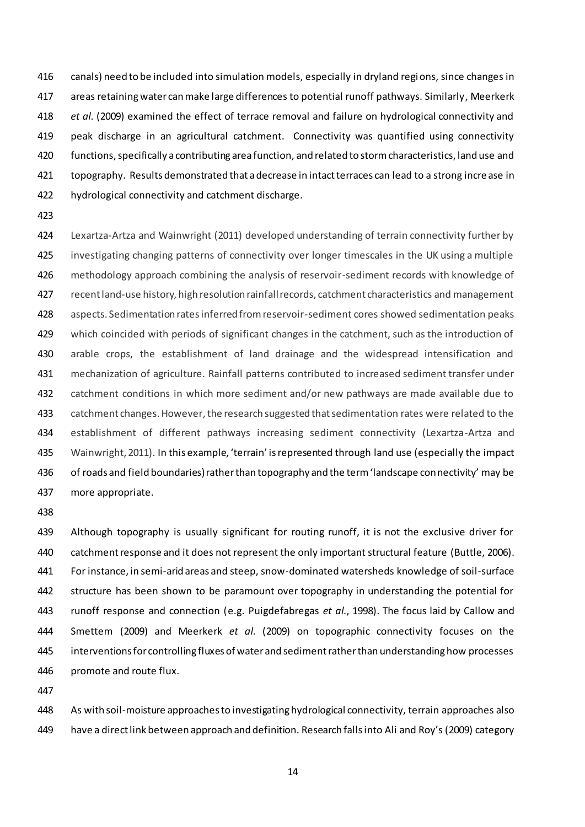canals) need to be included into simulation models, especially in dryland regions, since changes in areas retaining water can make large differences to potential runoff pathways. Similarly, Meerkerk *et al*. (2009) examined the effect of terrace removal and failure on hydrological connectivity and peak discharge in an agricultural catchment. Connectivity was quantified using connectivity functions, specifically a contributing area function, and related to storm characteristics, land use and topography. Results demonstrated that a decrease in intact terraces can lead to a strong incre ase in hydrological connectivity and catchment discharge.

 Lexartza-Artza and Wainwright (2011) developed understanding of terrain connectivity further by investigating changing patterns of connectivity over longer timescales in the UK using a multiple methodology approach combining the analysis of reservoir-sediment records with knowledge of recent land-use history, high resolution rainfall records, catchment characteristics and management aspects. Sedimentation rates inferred from reservoir-sediment cores showed sedimentation peaks which coincided with periods of significant changes in the catchment, such as the introduction of arable crops, the establishment of land drainage and the widespread intensification and mechanization of agriculture. Rainfall patterns contributed to increased sediment transfer under catchment conditions in which more sediment and/or new pathways are made available due to 433 catchment changes. However, the research suggested that sedimentation rates were related to the establishment of different pathways increasing sediment connectivity (Lexartza-Artza and Wainwright, 2011). In this example, 'terrain' is represented through land use (especially the impact of roads and field boundaries) rather than topography and the term 'landscape connectivity' may be more appropriate.

 Although topography is usually significant for routing runoff, it is not the exclusive driver for catchment response and it does not represent the only important structural feature (Buttle, 2006). For instance, in semi-arid areas and steep, snow-dominated watersheds knowledge of soil-surface structure has been shown to be paramount over topography in understanding the potential for runoff response and connection (e.g. Puigdefabregas *et al*., 1998). The focus laid by Callow and Smettem (2009) and Meerkerk *et al*. (2009) on topographic connectivity focuses on the interventions for controlling fluxes of water and sediment rather than understanding how processes promote and route flux.

 As with soil-moisture approaches to investigating hydrological connectivity, terrain approaches also have a direct link between approach and definition. Research falls into Ali and Roy's (2009) category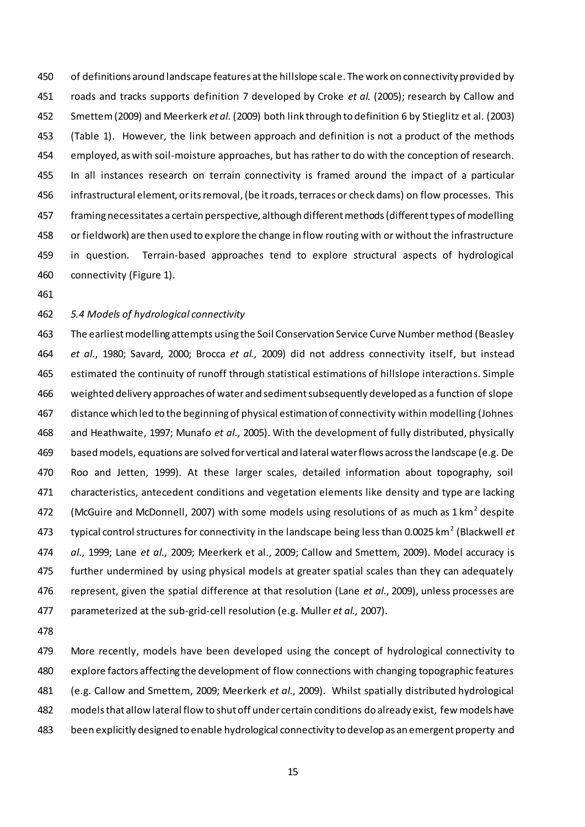of definitions around landscape features at the hillslope scale. The work on connectivity provided by roads and tracks supports definition 7 developed by Croke *et al.* (2005); research by Callow and Smettem(2009) and Meerkerk *et al*. (2009) both link through to definition 6 by Stieglitz et al. (2003) (Table 1). However, the link between approach and definition is not a product of the methods employed, as with soil-moisture approaches, but has rather to do with the conception of research. In all instances research on terrain connectivity is framed around the impact of a particular infrastructural element, or itsremoval, (be it roads, terraces or check dams) on flow processes. This framing necessitates a certain perspective, although different methods (different types of modelling or fieldwork) are then used to explore the change in flow routing with or without the infrastructure in question. Terrain-based approaches tend to explore structural aspects of hydrological connectivity (Figure 1).

## *5.4 Models of hydrological connectivity*

 The earliest modelling attempts using the Soil Conservation Service Curve Number method (Beasley *et al*., 1980; Savard, 2000; Brocca *et al.,* 2009) did not address connectivity itself, but instead estimated the continuity of runoff through statistical estimations of hillslope interactions. Simple weighted delivery approaches of water and sediment subsequently developed as a function of slope distance which led to the beginning of physical estimation of connectivity within modelling (Johnes and Heathwaite, 1997; Munafo *et al*., 2005). With the development of fully distributed, physically based models, equations are solved for vertical and lateral water flows across the landscape (e.g. De Roo and Jetten, 1999). At these larger scales, detailed information about topography, soil characteristics, antecedent conditions and vegetation elements like density and type are lacking  $\,$  (McGuire and McDonnell, 2007) with some models using resolutions of as much as 1 km<sup>2</sup> despite 473 typical control structures for connectivity in the landscape being less than 0.0025 km<sup>2</sup> (Blackwell *et al*., 1999; Lane *et al*., 2009; Meerkerk et al., 2009; Callow and Smettem, 2009). Model accuracy is further undermined by using physical models at greater spatial scales than they can adequately represent, given the spatial difference at that resolution (Lane *et al*., 2009), unless processes are parameterized at the sub-grid-cell resolution (e.g. Muller *et al.,* 2007).

 More recently, models have been developed using the concept of hydrological connectivity to explore factors affecting the development of flow connections with changing topographic features (e.g. Callow and Smettem, 2009; Meerkerk *et al*., 2009). Whilst spatially distributed hydrological models that allow lateral flow to shut off under certain conditions do already exist, few models have been explicitly designed to enable hydrological connectivity to develop as an emergent property and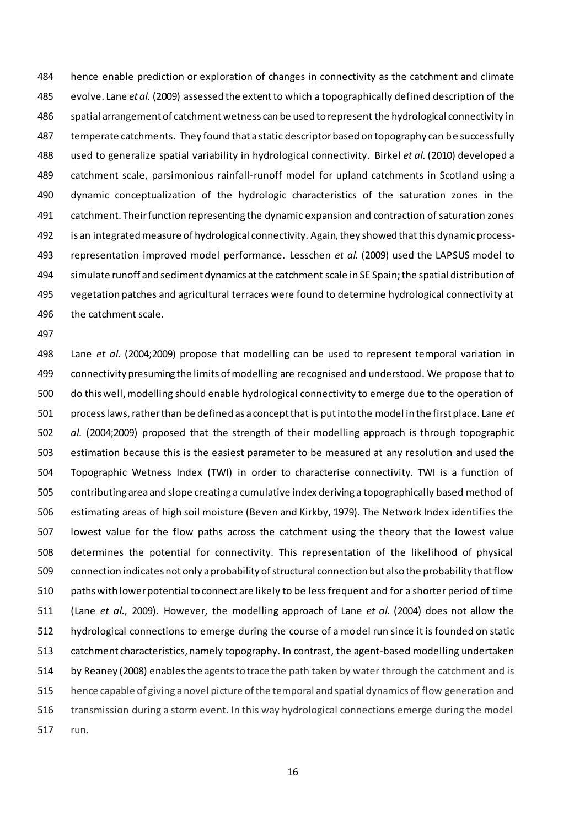hence enable prediction or exploration of changes in connectivity as the catchment and climate evolve. Lane *et al*. (2009) assessed the extent to which a topographically defined description of the spatial arrangement of catchment wetness can be used to represent the hydrological connectivity in temperate catchments. They found that a static descriptor based on topography can be successfully used to generalize spatial variability in hydrological connectivity. Birkel *et al*. (2010) developed a catchment scale, parsimonious rainfall-runoff model for upland catchments in Scotland using a dynamic conceptualization of the hydrologic characteristics of the saturation zones in the catchment. Their function representing the dynamic expansion and contraction of saturation zones is an integrated measure of hydrological connectivity. Again, they showed that this dynamic process- representation improved model performance. Lesschen *et al*. (2009) used the LAPSUS model to 494 simulate runoff and sediment dynamics at the catchment scale in SE Spain; the spatial distribution of vegetation patches and agricultural terraces were found to determine hydrological connectivity at the catchment scale.

 Lane *et al*. (2004;2009) propose that modelling can be used to represent temporal variation in connectivity presuming the limits of modelling are recognised and understood. We propose that to do this well, modelling should enable hydrological connectivity to emerge due to the operation of process laws, rather than be defined as a concept that is put into the model in the first place. Lane *et al*. (2004;2009) proposed that the strength of their modelling approach is through topographic estimation because this is the easiest parameter to be measured at any resolution and used the Topographic Wetness Index (TWI) in order to characterise connectivity. TWI is a function of contributing area and slope creating a cumulative index deriving a topographically based method of estimating areas of high soil moisture (Beven and Kirkby, 1979). The Network Index identifies the lowest value for the flow paths across the catchment using the theory that the lowest value determines the potential for connectivity. This representation of the likelihood of physical connection indicates not only a probability of structural connection but also the probability that flow paths with lower potential to connect are likely to be less frequent and for a shorter period of time (Lane *et al*., 2009). However, the modelling approach of Lane *et al*. (2004) does not allow the hydrological connections to emerge during the course of a model run since it is founded on static catchment characteristics, namely topography. In contrast, the agent-based modelling undertaken by Reaney (2008) enables the agents to trace the path taken by water through the catchment and is hence capable of giving a novel picture of the temporal and spatial dynamics of flow generation and transmission during a storm event. In this way hydrological connections emerge during the model run.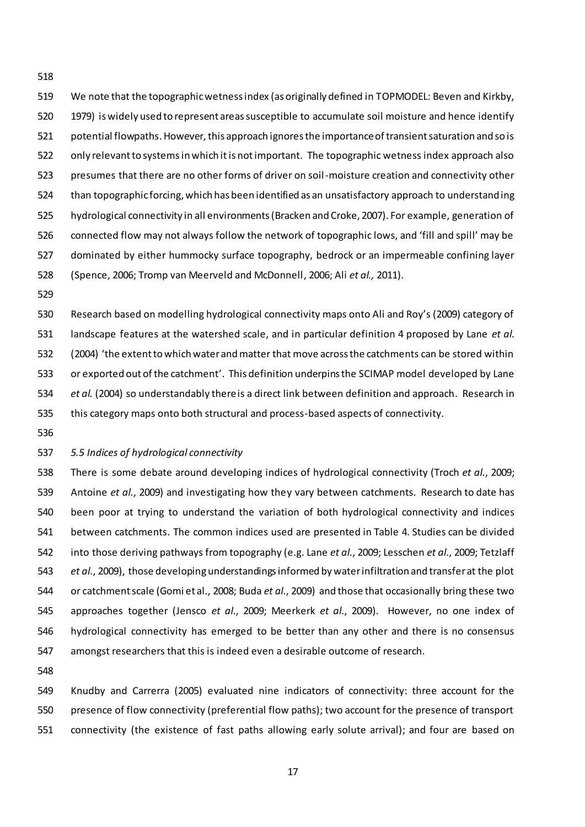We note that the topographic wetness index (as originally defined in TOPMODEL: Beven and Kirkby, 1979) is widely used to represent areas susceptible to accumulate soil moisture and hence identify potential flowpaths. However, this approach ignores the importance of transient saturation and so is only relevant to systems in which it is not important. The topographic wetness index approach also presumes that there are no other forms of driver on soil-moisture creation and connectivity other than topographic forcing, which has been identified as an unsatisfactory approach to understanding hydrological connectivity in all environments (Bracken and Croke, 2007). For example, generation of connected flow may not always follow the network of topographic lows, and 'fill and spill' may be dominated by either hummocky surface topography, bedrock or an impermeable confining layer (Spence, 2006; Tromp van Meerveld and McDonnell, 2006; Ali *et al.,* 2011).

 Research based on modelling hydrological connectivity maps onto Ali and Roy's (2009) category of landscape features at the watershed scale, and in particular definition 4 proposed by Lane *et al*. (2004) 'the extent to which water and matter that move across the catchments can be stored within or exported out of the catchment'. This definition underpins the SCIMAP model developed by Lane *et al.* (2004) so understandably there is a direct link between definition and approach. Research in this category maps onto both structural and process-based aspects of connectivity.

#### *5.5 Indices of hydrological connectivity*

 There is some debate around developing indices of hydrological connectivity (Troch *et al*., 2009; Antoine *et al*., 2009) and investigating how they vary between catchments. Research to date has been poor at trying to understand the variation of both hydrological connectivity and indices between catchments. The common indices used are presented in Table 4. Studies can be divided into those deriving pathways from topography (e.g. Lane *et al*., 2009; Lesschen *et al*., 2009; Tetzlaff *et al*., 2009), those developing understandings informed by water infiltration and transfer at the plot or catchment scale (Gomi et al., 2008; Buda *et al*., 2009) and those that occasionally bring these two approaches together (Jensco *et al*., 2009; Meerkerk *et al*., 2009). However, no one index of hydrological connectivity has emerged to be better than any other and there is no consensus amongst researchers that this is indeed even a desirable outcome of research.

 Knudby and Carrerra (2005) evaluated nine indicators of connectivity: three account for the presence of flow connectivity (preferential flow paths); two account for the presence of transport connectivity (the existence of fast paths allowing early solute arrival); and four are based on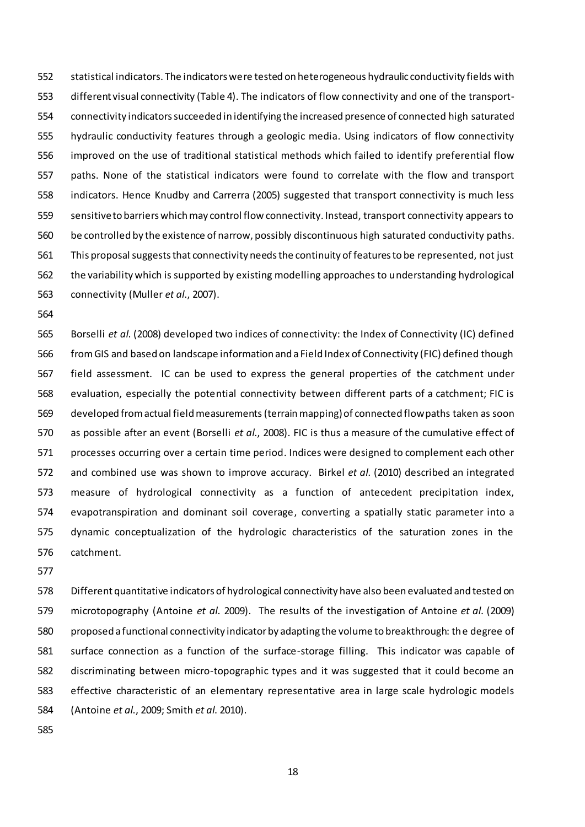statistical indicators. The indicators were tested on heterogeneous hydraulic conductivity fields with different visual connectivity (Table 4). The indicators of flow connectivity and one of the transport- connectivity indicators succeeded in identifying the increased presence of connected high saturated hydraulic conductivity features through a geologic media. Using indicators of flow connectivity improved on the use of traditional statistical methods which failed to identify preferential flow paths. None of the statistical indicators were found to correlate with the flow and transport indicators. Hence Knudby and Carrerra (2005) suggested that transport connectivity is much less sensitive to barriers which may control flow connectivity. Instead, transport connectivity appears to be controlled by the existence of narrow, possibly discontinuous high saturated conductivity paths. This proposal suggests that connectivity needs the continuity of features to be represented, not just the variability which is supported by existing modelling approaches to understanding hydrological connectivity (Muller *et al*., 2007).

 Borselli *et al*. (2008) developed two indices of connectivity: the Index of Connectivity (IC) defined from GIS and based on landscape information and a Field Index of Connectivity (FIC) defined though field assessment. IC can be used to express the general properties of the catchment under evaluation, especially the potential connectivity between different parts of a catchment; FIC is developed from actual field measurements(terrain mapping)of connected flow paths taken as soon as possible after an event (Borselli *et al*., 2008). FIC is thus a measure of the cumulative effect of processes occurring over a certain time period. Indices were designed to complement each other and combined use was shown to improve accuracy. Birkel *et al*. (2010) described an integrated measure of hydrological connectivity as a function of antecedent precipitation index, evapotranspiration and dominant soil coverage, converting a spatially static parameter into a dynamic conceptualization of the hydrologic characteristics of the saturation zones in the catchment.

 Different quantitative indicators of hydrological connectivity have also been evaluated and tested on microtopography (Antoine *et al*. 2009). The results of the investigation of Antoine *et al*. (2009) proposed a functional connectivity indicator by adapting the volume to breakthrough: the degree of surface connection as a function of the surface-storage filling. This indicator was capable of discriminating between micro-topographic types and it was suggested that it could become an effective characteristic of an elementary representative area in large scale hydrologic models (Antoine *et al*., 2009; Smith *et al*. 2010).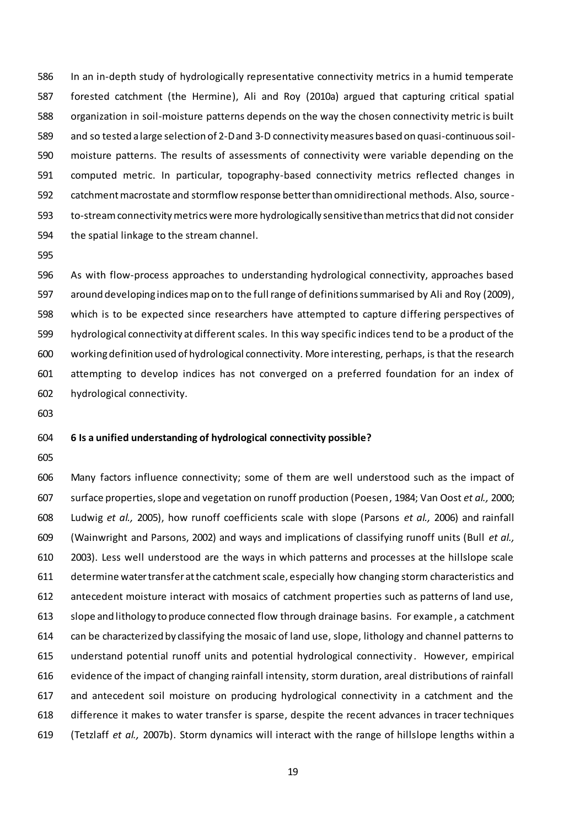In an in-depth study of hydrologically representative connectivity metrics in a humid temperate forested catchment (the Hermine), Ali and Roy (2010a) argued that capturing critical spatial organization in soil-moisture patterns depends on the way the chosen connectivity metric is built and so tested a large selection of 2-D and 3-D connectivity measures based on quasi-continuous soil- moisture patterns. The results of assessments of connectivity were variable depending on the computed metric. In particular, topography-based connectivity metrics reflected changes in catchment macrostate and stormflow response better than omnidirectional methods. Also, source - to-stream connectivity metrics were more hydrologically sensitive than metrics that did not consider the spatial linkage to the stream channel.

 As with flow-process approaches to understanding hydrological connectivity, approaches based around developing indices map on to the full range of definitions summarised by Ali and Roy (2009), which is to be expected since researchers have attempted to capture differing perspectives of hydrological connectivity at different scales. In this way specific indices tend to be a product of the working definition used of hydrological connectivity. More interesting, perhaps, is that the research attempting to develop indices has not converged on a preferred foundation for an index of hydrological connectivity.

#### **6 Is a unified understanding of hydrological connectivity possible?**

 Many factors influence connectivity; some of them are well understood such as the impact of surface properties, slope and vegetation on runoff production (Poesen, 1984; Van Oost *et al.,* 2000; Ludwig *et al.,* 2005), how runoff coefficients scale with slope (Parsons *et al.,* 2006) and rainfall (Wainwright and Parsons, 2002) and ways and implications of classifying runoff units (Bull *et al.,* 2003). Less well understood are the ways in which patterns and processes at the hillslope scale determine water transfer at the catchmentscale, especially how changing storm characteristics and antecedent moisture interact with mosaics of catchment properties such as patterns of land use, slope and lithology to produce connected flow through drainage basins. For example , a catchment can be characterized by classifying the mosaic of land use, slope, lithology and channel patterns to understand potential runoff units and potential hydrological connectivity. However, empirical evidence of the impact of changing rainfall intensity, storm duration, areal distributions of rainfall and antecedent soil moisture on producing hydrological connectivity in a catchment and the difference it makes to water transfer is sparse, despite the recent advances in tracer techniques (Tetzlaff *et al.,* 2007b). Storm dynamics will interact with the range of hillslope lengths within a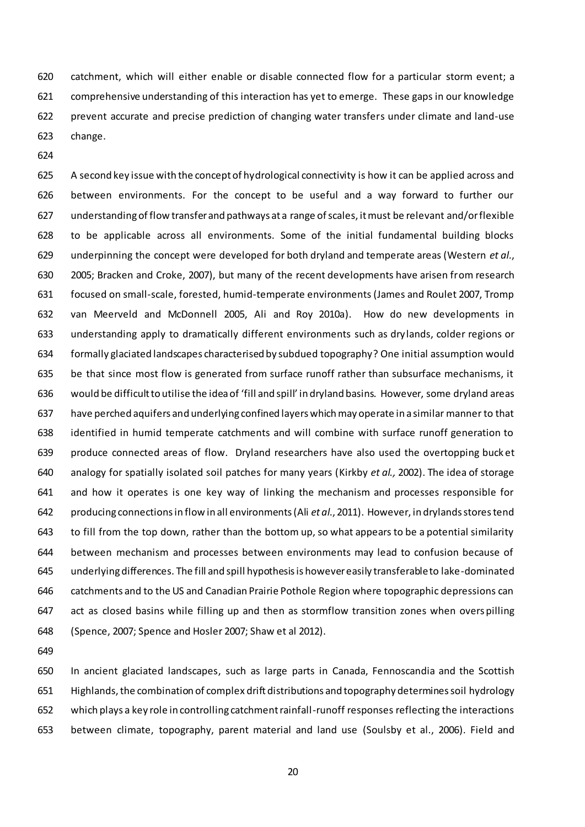catchment, which will either enable or disable connected flow for a particular storm event; a comprehensive understanding of this interaction has yet to emerge. These gaps in our knowledge prevent accurate and precise prediction of changing water transfers under climate and land-use change.

 A second key issue with the concept of hydrological connectivity is how it can be applied across and between environments. For the concept to be useful and a way forward to further our understanding of flow transfer and pathways at a range of scales, it must be relevant and/or flexible to be applicable across all environments. Some of the initial fundamental building blocks underpinning the concept were developed for both dryland and temperate areas (Western *et al*., 2005; Bracken and Croke, 2007), but many of the recent developments have arisen from research focused on small-scale, forested, humid-temperate environments (James and Roulet 2007, Tromp van Meerveld and McDonnell 2005, Ali and Roy 2010a). How do new developments in understanding apply to dramatically different environments such as drylands, colder regions or formally glaciated landscapes characterised by subdued topography? One initial assumption would be that since most flow is generated from surface runoff rather than subsurface mechanisms, it would be difficult to utilise the idea of 'fill and spill' in dryland basins. However, some dryland areas have perched aquifers and underlying confined layers which may operate in a similar manner to that identified in humid temperate catchments and will combine with surface runoff generation to produce connected areas of flow. Dryland researchers have also used the overtopping buck et analogy for spatially isolated soil patches for many years (Kirkby *et al.,* 2002). The idea of storage and how it operates is one key way of linking the mechanism and processes responsible for producing connections in flow in all environments (Ali *et al*., 2011). However, in drylands stores tend to fill from the top down, rather than the bottom up, so what appears to be a potential similarity between mechanism and processes between environments may lead to confusion because of underlying differences. The fill and spill hypothesis is however easily transferable to lake-dominated catchments and to the US and Canadian Prairie Pothole Region where topographic depressions can act as closed basins while filling up and then as stormflow transition zones when overs pilling (Spence, 2007; Spence and Hosler 2007; Shaw et al 2012).

 In ancient glaciated landscapes, such as large parts in Canada, Fennoscandia and the Scottish Highlands, the combination of complex drift distributions and topography determines soil hydrology which plays a key role in controlling catchment rainfall-runoff responses reflecting the interactions between climate, topography, parent material and land use (Soulsby et al., 2006). Field and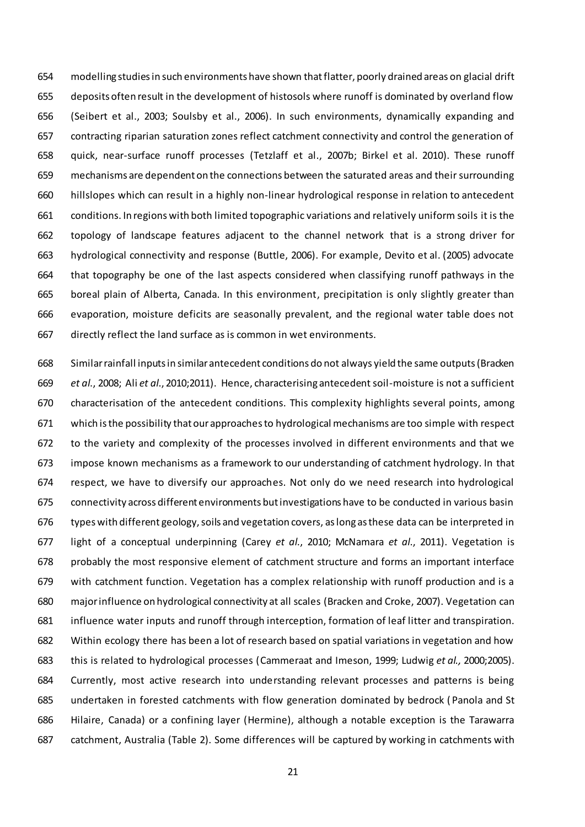modelling studies in such environments have shown that flatter, poorly drained areas on glacial drift deposits often result in the development of histosols where runoff is dominated by overland flow (Seibert et al., 2003; Soulsby et al., 2006). In such environments, dynamically expanding and contracting riparian saturation zones reflect catchment connectivity and control the generation of quick, near-surface runoff processes (Tetzlaff et al., 2007b; Birkel et al. 2010). These runoff mechanisms are dependent on the connections between the saturated areas and their surrounding hillslopes which can result in a highly non-linear hydrological response in relation to antecedent conditions. In regions with both limited topographic variations and relatively uniform soils it is the topology of landscape features adjacent to the channel network that is a strong driver for hydrological connectivity and response (Buttle, 2006). For example, Devito et al. (2005) advocate that topography be one of the last aspects considered when classifying runoff pathways in the boreal plain of Alberta, Canada. In this environment, precipitation is only slightly greater than evaporation, moisture deficits are seasonally prevalent, and the regional water table does not directly reflect the land surface as is common in wet environments.

 Similar rainfall inputs in similar antecedent conditions do not always yield the same outputs (Bracken *et al*., 2008; Ali *et al*., 2010;2011). Hence, characterising antecedent soil-moisture is not a sufficient characterisation of the antecedent conditions. This complexity highlights several points, among which is the possibility that our approachesto hydrological mechanisms are too simple with respect to the variety and complexity of the processes involved in different environments and that we impose known mechanisms as a framework to our understanding of catchment hydrology. In that respect, we have to diversify our approaches. Not only do we need research into hydrological connectivity across different environments but investigations have to be conducted in various basin types with different geology, soils and vegetation covers, as long as these data can be interpreted in light of a conceptual underpinning (Carey *et al*., 2010; McNamara *et al*., 2011). Vegetation is probably the most responsive element of catchment structure and forms an important interface with catchment function. Vegetation has a complex relationship with runoff production and is a major influence on hydrological connectivity at all scales (Bracken and Croke, 2007). Vegetation can influence water inputs and runoff through interception, formation of leaf litter and transpiration. Within ecology there has been a lot of research based on spatial variations in vegetation and how this is related to hydrological processes (Cammeraat and Imeson, 1999; Ludwig *et al.,* 2000;2005). Currently, most active research into understanding relevant processes and patterns is being undertaken in forested catchments with flow generation dominated by bedrock ( Panola and St Hilaire, Canada) or a confining layer (Hermine), although a notable exception is the Tarawarra catchment, Australia (Table 2). Some differences will be captured by working in catchments with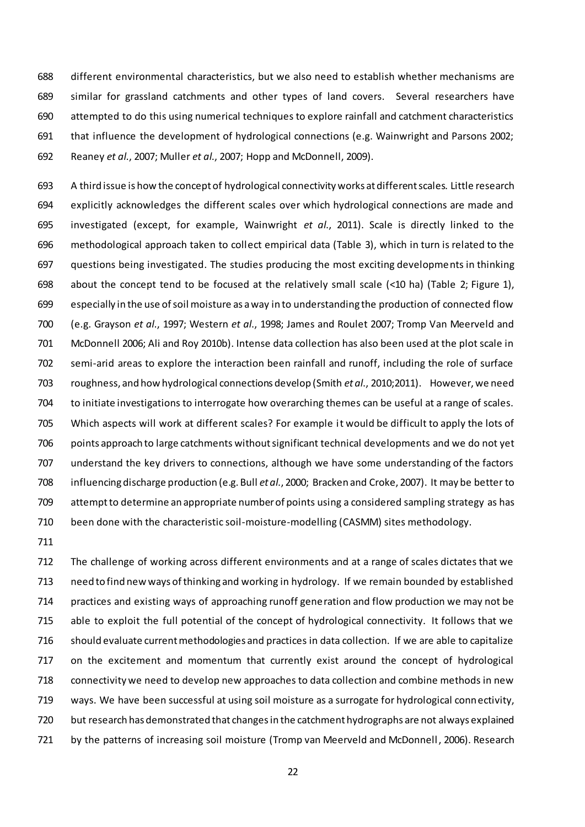different environmental characteristics, but we also need to establish whether mechanisms are similar for grassland catchments and other types of land covers. Several researchers have attempted to do this using numerical techniques to explore rainfall and catchment characteristics that influence the development of hydrological connections (e.g. Wainwright and Parsons 2002; Reaney *et al*., 2007; Muller *et al*., 2007; Hopp and McDonnell, 2009).

 A third issue is how the concept of hydrological connectivity works at different scales. Little research explicitly acknowledges the different scales over which hydrological connections are made and investigated (except, for example, Wainwright *et al*., 2011). Scale is directly linked to the methodological approach taken to collect empirical data (Table 3), which in turn is related to the questions being investigated. The studies producing the most exciting developments in thinking about the concept tend to be focused at the relatively small scale (<10 ha) (Table 2; Figure 1), especially in the use of soil moisture as a way in to understanding the production of connected flow (e.g. Grayson *et al*., 1997; Western *et al*., 1998; James and Roulet 2007; Tromp Van Meerveld and McDonnell 2006; Ali and Roy 2010b). Intense data collection has also been used at the plot scale in semi-arid areas to explore the interaction been rainfall and runoff, including the role of surface roughness, and how hydrological connections develop (Smith *et al*., 2010;2011). However, we need to initiate investigations to interrogate how overarching themes can be useful at a range of scales. Which aspects will work at different scales? For example it would be difficult to apply the lots of points approach to large catchments without significant technical developments and we do not yet understand the key drivers to connections, although we have some understanding of the factors influencing discharge production (e.g. Bull *et al*., 2000; Bracken and Croke, 2007). It may be better to attempt to determine an appropriate number of points using a considered sampling strategy as has been done with the characteristic soil-moisture-modelling (CASMM) sites methodology.

 The challenge of working across different environments and at a range of scales dictates that we need to find new ways of thinking and working in hydrology. If we remain bounded by established practices and existing ways of approaching runoff generation and flow production we may not be able to exploit the full potential of the concept of hydrological connectivity. It follows that we should evaluate current methodologies and practices in data collection. If we are able to capitalize on the excitement and momentum that currently exist around the concept of hydrological connectivity we need to develop new approaches to data collection and combine methods in new ways. We have been successful at using soil moisture as a surrogate for hydrological connectivity, but research has demonstrated that changes in the catchment hydrographs are not always explained 721 by the patterns of increasing soil moisture (Tromp van Meerveld and McDonnell, 2006). Research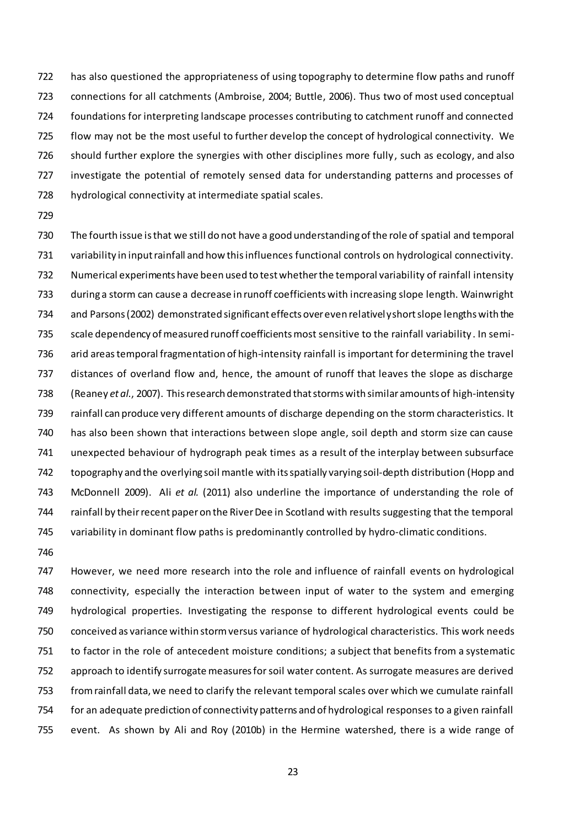has also questioned the appropriateness of using topography to determine flow paths and runoff connections for all catchments (Ambroise, 2004; Buttle, 2006). Thus two of most used conceptual foundations for interpreting landscape processes contributing to catchment runoff and connected flow may not be the most useful to further develop the concept of hydrological connectivity. We should further explore the synergies with other disciplines more fully, such as ecology, and also investigate the potential of remotely sensed data for understanding patterns and processes of hydrological connectivity at intermediate spatial scales.

 The fourth issue is that we still do not have a good understanding of the role of spatial and temporal variability in input rainfall and how this influences functional controls on hydrological connectivity. Numerical experiments have been used to test whether the temporal variability of rainfall intensity during a storm can cause a decrease in runoff coefficients with increasing slope length. Wainwright and Parsons (2002) demonstrated significant effects over even relatively short slope lengths with the scale dependency of measured runoff coefficients most sensitive to the rainfall variability. In semi- arid areas temporal fragmentation of high-intensity rainfall is important for determining the travel distances of overland flow and, hence, the amount of runoff that leaves the slope as discharge (Reaney *et al*., 2007). This research demonstrated that storms with similar amounts of high-intensity rainfall can produce very different amounts of discharge depending on the storm characteristics. It has also been shown that interactions between slope angle, soil depth and storm size can cause unexpected behaviour of hydrograph peak times as a result of the interplay between subsurface topography and the overlying soil mantle with its spatially varying soil-depth distribution (Hopp and McDonnell 2009). Ali *et al.* (2011) also underline the importance of understanding the role of rainfall by their recent paper on the River Dee in Scotland with results suggesting that the temporal variability in dominant flow paths is predominantly controlled by hydro-climatic conditions.

 However, we need more research into the role and influence of rainfall events on hydrological connectivity, especially the interaction between input of water to the system and emerging hydrological properties. Investigating the response to different hydrological events could be conceived as variance within storm versus variance of hydrological characteristics. This work needs to factor in the role of antecedent moisture conditions; a subject that benefits from a systematic approach to identify surrogate measures for soil water content. As surrogate measures are derived from rainfall data, we need to clarify the relevant temporal scales over which we cumulate rainfall for an adequate prediction of connectivity patterns and of hydrological responses to a given rainfall event. As shown by Ali and Roy (2010b) in the Hermine watershed, there is a wide range of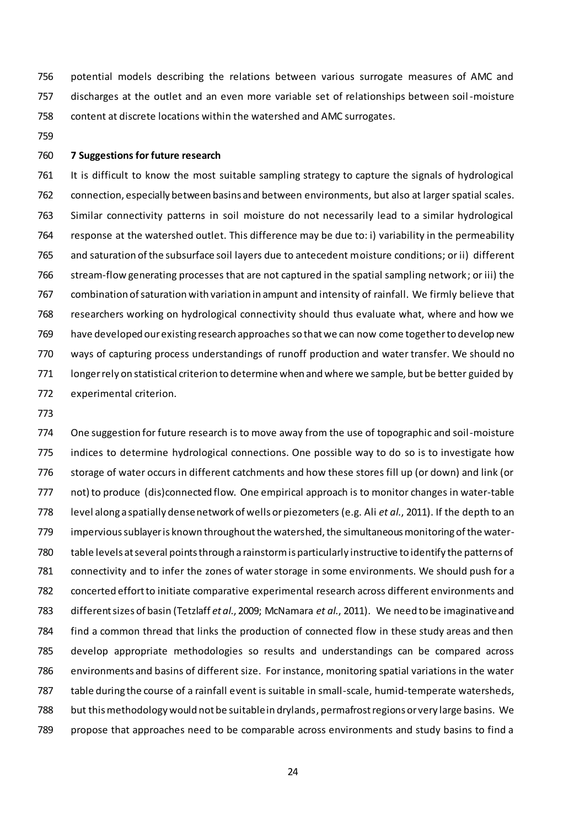potential models describing the relations between various surrogate measures of AMC and discharges at the outlet and an even more variable set of relationships between soil-moisture content at discrete locations within the watershed and AMC surrogates.

#### **7 Suggestions for future research**

 It is difficult to know the most suitable sampling strategy to capture the signals of hydrological connection, especially between basins and between environments, but also at larger spatial scales. Similar connectivity patterns in soil moisture do not necessarily lead to a similar hydrological response at the watershed outlet. This difference may be due to: i) variability in the permeability and saturation of the subsurface soil layers due to antecedent moisture conditions; or ii) different stream-flow generating processes that are not captured in the spatial sampling network; or iii) the combination of saturation with variation in ampunt and intensity of rainfall. We firmly believe that researchers working on hydrological connectivity should thus evaluate what, where and how we have developed our existing research approaches so that we can now come together to develop new ways of capturing process understandings of runoff production and water transfer. We should no longer rely on statistical criterion to determine when and where we sample, but be better guided by experimental criterion.

 One suggestion for future research is to move away from the use of topographic and soil-moisture indices to determine hydrological connections. One possible way to do so is to investigate how storage of water occurs in different catchments and how these stores fill up (or down) and link (or not) to produce (dis)connected flow. One empirical approach is to monitor changes in water-table level along a spatially dense network of wells or piezometers (e.g. Ali *et al*., 2011). If the depth to an impervious sublayer is known throughout the watershed, the simultaneous monitoring of the water- table levels at several points through a rainstorm is particularly instructive to identify the patterns of connectivity and to infer the zones of water storage in some environments. We should push for a concerted effort to initiate comparative experimental research across different environments and different sizes of basin (Tetzlaff *et al*., 2009; McNamara *et al*., 2011). We need to be imaginative and find a common thread that links the production of connected flow in these study areas and then develop appropriate methodologies so results and understandings can be compared across environments and basins of different size. For instance, monitoring spatial variations in the water table during the course of a rainfall event is suitable in small-scale, humid-temperate watersheds, but this methodology would not be suitable in drylands, permafrost regions or very large basins. We propose that approaches need to be comparable across environments and study basins to find a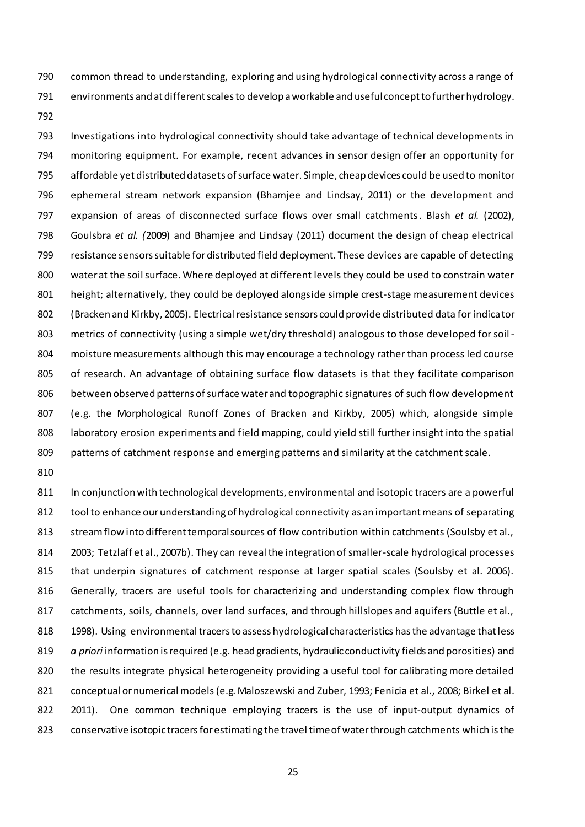common thread to understanding, exploring and using hydrological connectivity across a range of environments and at different scales to develop a workable and useful concept to further hydrology.

 Investigations into hydrological connectivity should take advantage of technical developments in monitoring equipment. For example, recent advances in sensor design offer an opportunity for affordable yet distributed datasets of surface water. Simple, cheap devices could be used to monitor ephemeral stream network expansion (Bhamjee and Lindsay, 2011) or the development and expansion of areas of disconnected surface flows over small catchments. Blash *et al.* (2002), Goulsbra *et al. (*2009) and Bhamjee and Lindsay (2011) document the design of cheap electrical resistance sensors suitable for distributed field deployment. These devices are capable of detecting water at the soil surface. Where deployed at different levels they could be used to constrain water height; alternatively, they could be deployed alongside simple crest-stage measurement devices (Bracken and Kirkby, 2005). Electrical resistance sensors could provide distributed data for indicator 803 metrics of connectivity (using a simple wet/dry threshold) analogous to those developed for soil- moisture measurements although this may encourage a technology rather than process led course of research. An advantage of obtaining surface flow datasets is that they facilitate comparison between observed patterns of surface water and topographic signatures of such flow development (e.g. the Morphological Runoff Zones of Bracken and Kirkby, 2005) which, alongside simple laboratory erosion experiments and field mapping, could yield still further insight into the spatial patterns of catchment response and emerging patterns and similarity at the catchment scale.

 In conjunction with technological developments, environmental and isotopic tracers are a powerful tool to enhance our understanding of hydrological connectivity as an important means of separating stream flow into different temporal sources of flow contribution within catchments (Soulsby et al., 2003; Tetzlaff et al., 2007b). They can reveal the integration of smaller-scale hydrological processes that underpin signatures of catchment response at larger spatial scales (Soulsby et al. 2006). Generally, tracers are useful tools for characterizing and understanding complex flow through 817 catchments, soils, channels, over land surfaces, and through hillslopes and aquifers (Buttle et al., 1998). Using environmental tracers to assess hydrological characteristics hasthe advantage that less *a priori* information is required (e.g. head gradients, hydraulic conductivity fields and porosities) and 820 the results integrate physical heterogeneity providing a useful tool for calibrating more detailed conceptual or numerical models(e.g. Maloszewski and Zuber, 1993; Fenicia et al., 2008; Birkel et al. 2011). One common technique employing tracers is the use of input-output dynamics of 823 conservative isotopic tracers for estimating the travel time of water through catchments which is the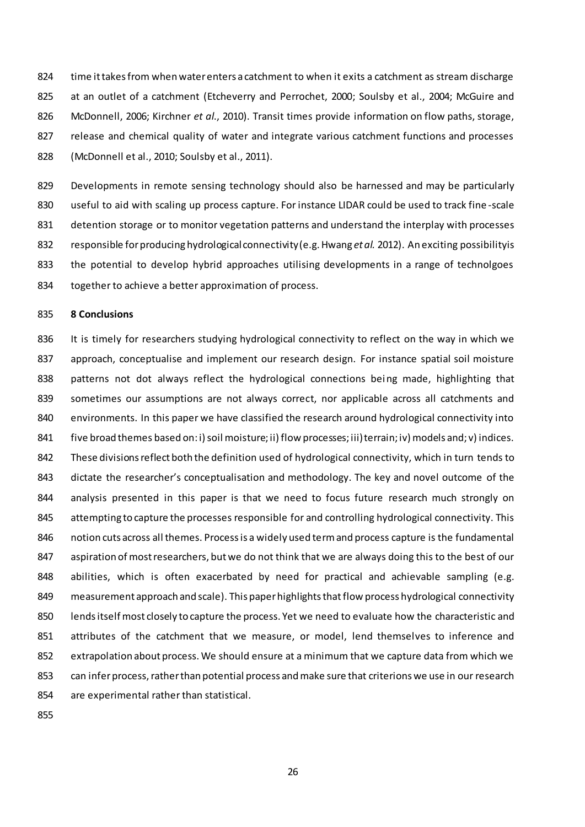824 time it takes from when water enters a catchment to when it exits a catchment as stream discharge at an outlet of a catchment (Etcheverry and Perrochet, 2000; Soulsby et al., 2004; McGuire and McDonnell, 2006; Kirchner *et al*., 2010). Transit times provide information on flow paths, storage, release and chemical quality of water and integrate various catchment functions and processes (McDonnell et al., 2010; Soulsby et al., 2011).

 Developments in remote sensing technology should also be harnessed and may be particularly useful to aid with scaling up process capture. For instance LIDAR could be used to track fine -scale detention storage or to monitor vegetation patterns and understand the interplay with processes responsible for producing hydrological connectivity (e.g. Hwang *et al.* 2012). An exciting possibilityis the potential to develop hybrid approaches utilising developments in a range of technolgoes together to achieve a better approximation of process.

#### **8 Conclusions**

836 It is timely for researchers studying hydrological connectivity to reflect on the way in which we approach, conceptualise and implement our research design. For instance spatial soil moisture patterns not dot always reflect the hydrological connections being made, highlighting that sometimes our assumptions are not always correct, nor applicable across all catchments and environments. In this paper we have classified the research around hydrological connectivity into 841 five broad themes based on: i) soil moisture; ii) flow processes; iii) terrain; iv) models and; v) indices. 842 These divisions reflect both the definition used of hydrological connectivity, which in turn tends to dictate the researcher's conceptualisation and methodology. The key and novel outcome of the 844 analysis presented in this paper is that we need to focus future research much strongly on attempting to capture the processes responsible for and controlling hydrological connectivity. This notion cuts across all themes. Process is a widely used term and process capture is the fundamental aspiration of most researchers, but we do not think that we are always doing this to the best of our 848 abilities, which is often exacerbated by need for practical and achievable sampling (e.g. measurement approach and scale). This paper highlights that flow process hydrological connectivity 850 lends itself most closely to capture the process. Yet we need to evaluate how the characteristic and attributes of the catchment that we measure, or model, lend themselves to inference and extrapolation about process. We should ensure at a minimum that we capture data from which we can infer process, rather than potential process and make sure that criterions we use in our research are experimental rather than statistical.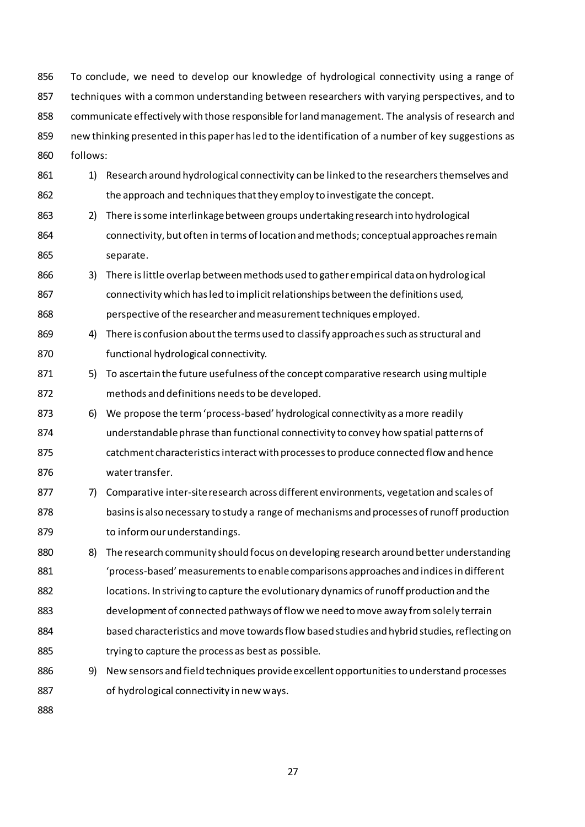To conclude, we need to develop our knowledge of hydrological connectivity using a range of techniques with a common understanding between researchers with varying perspectives, and to communicate effectively with those responsible for land management. The analysis of research and new thinking presented in this paper has led to the identification of a number of key suggestions as follows:

861 1) Research around hydrological connectivity can be linked to the researchers themselves and 862 the approach and techniques that they employ to investigate the concept. 2) There is some interlinkage between groups undertaking research into hydrological connectivity, but often in terms of location and methods; conceptual approaches remain separate. 3) There is little overlap between methods used to gather empirical data on hydrological connectivity which has led to implicit relationships between the definitions used, perspective of the researcher and measurement techniques employed. 869 4) There is confusion about the terms used to classify approaches such as structural and functional hydrological connectivity. 871 5) To ascertain the future usefulness of the concept comparative research using multiple methods and definitions needs to be developed. 6) We propose the term 'process-based' hydrological connectivity as a more readily understandable phrase than functional connectivity to convey how spatial patterns of catchment characteristics interact with processes to produce connected flow and hence water transfer. 7) Comparative inter-site research across different environments, vegetation and scales of basins is also necessary to study a range of mechanisms and processes of runoff production 879 to inform our understandings. 880 80 By The research community should focus on developing research around better understanding 'process-based' measurements to enable comparisons approaches and indices in different 882 locations. In striving to capture the evolutionary dynamics of runoff production and the development of connected pathways of flow we need to move away from solely terrain based characteristics and move towards flow based studies and hybrid studies, reflecting on trying to capture the process as best as possible. 886 9) New sensors and field techniques provide excellent opportunities to understand processes 887 of hydrological connectivity in new ways.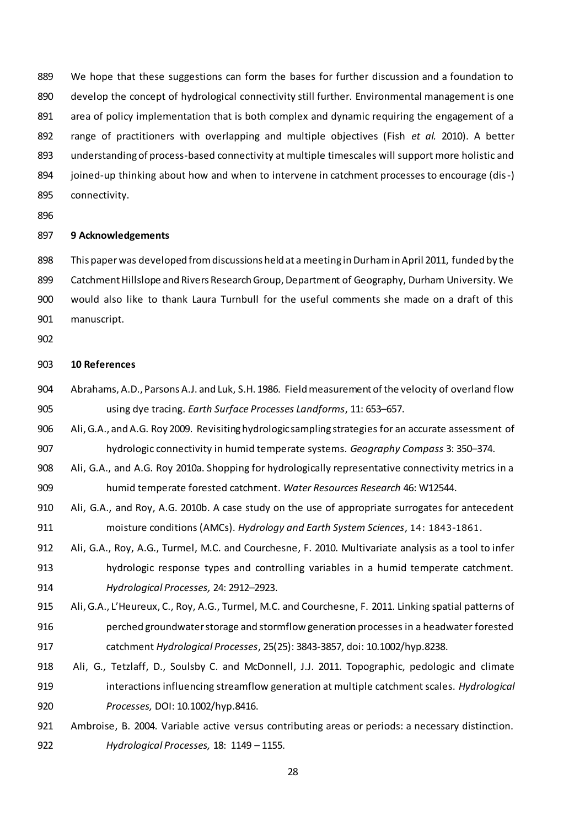889 We hope that these suggestions can form the bases for further discussion and a foundation to develop the concept of hydrological connectivity still further. Environmental management is one area of policy implementation that is both complex and dynamic requiring the engagement of a range of practitioners with overlapping and multiple objectives (Fish *et al.* 2010). A better understanding of process-based connectivity at multiple timescales will support more holistic and joined-up thinking about how and when to intervene in catchment processes to encourage (dis-) connectivity.

## **9 Acknowledgements**

 This paper was developed from discussions held at a meeting in Durham in April 2011, funded by the Catchment Hillslope and Rivers Research Group, Department of Geography, Durham University. We would also like to thank Laura Turnbull for the useful comments she made on a draft of this manuscript.

#### **10 References**

- Abrahams, A.D., Parsons A.J. and Luk, S.H. 1986. Field measurement of the velocity of overland flow using dye tracing. *Earth Surface Processes Landforms*, 11: 653–657.
- Ali, G.A., and A.G. Roy 2009. Revisiting hydrologic sampling strategies for an accurate assessment of hydrologic connectivity in humid temperate systems. *Geography Compass* 3: 350–374.
- Ali, G.A., and A.G. Roy 2010a. Shopping for hydrologically representative connectivity metrics in a humid temperate forested catchment. *Water Resources Research* 46: W12544.
- Ali, G.A., and Roy, A.G. 2010b. A case study on the use of appropriate surrogates for antecedent moisture conditions (AMCs). *Hydrology and Earth System Sciences*, 14: 1843-1861.
- Ali, G.A., Roy, A.G., Turmel, M.C. and Courchesne, F. 2010. Multivariate analysis as a tool to infer hydrologic response types and controlling variables in a humid temperate catchment. *Hydrological Processes,* 24: 2912–2923.
- Ali, G.A., L'Heureux, C., Roy, A.G., Turmel, M.C. and Courchesne, F. 2011. Linking spatial patterns of perched groundwater storage and stormflow generation processes in a headwater forested catchment *Hydrological Processes*, 25(25): 3843-3857, doi: 10.1002/hyp.8238.
- Ali, G., Tetzlaff, D., Soulsby C. and McDonnell, J.J. 2011. Topographic, pedologic and climate interactions influencing streamflow generation at multiple catchment scales. *Hydrological Processes,* DOI: 10.1002/hyp.8416.
- Ambroise, B. 2004. Variable active versus contributing areas or periods: a necessary distinction. *Hydrological Processes,* 18: 1149 – 1155.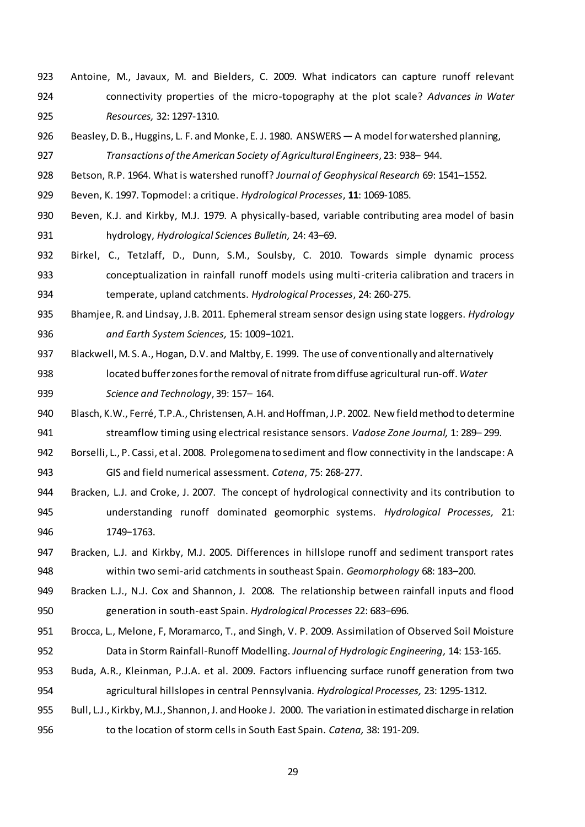- Antoine, M., Javaux, M. and Bielders, C. 2009. What indicators can capture runoff relevant connectivity properties of the micro-topography at the plot scale? *Advances in Water Resources,* 32: 1297-1310.
- Beasley, D. B., Huggins, L. F. and Monke, E. J. 1980. ANSWERS A model for watershed planning, *Transactions of the American Society of AgriculturalEngineers*, 23: 938– 944.

Betson, R.P. 1964. What is watershed runoff? *Journal of Geophysical Research* 69: 1541–1552.

- Beven, K. 1997. Topmodel: a critique. *Hydrological Processes*, **11**: 1069-1085.
- Beven, K.J. and Kirkby, M.J. 1979. A physically-based, variable contributing area model of basin hydrology, *Hydrological Sciences Bulletin,* 24: 43–69.
- Birkel, C., Tetzlaff, D., Dunn, S.M., Soulsby, C. 2010. Towards simple dynamic process conceptualization in rainfall runoff models using multi-criteria calibration and tracers in temperate, upland catchments. *Hydrological Processes*, 24: 260-275.
- Bhamjee, R. and Lindsay, J.B. 2011. Ephemeral stream sensor design using state loggers. *Hydrology and Earth System Sciences,* 15: 1009−1021.
- Blackwell, M. S. A., Hogan, D.V. and Maltby, E. 1999. The use of conventionally and alternatively located buffer zones for the removal of nitrate from diffuse agricultural run-off.*Water Science and Technology*, 39: 157– 164.
- Blasch, K.W., Ferré, T.P.A., Christensen, A.H. and Hoffman, J.P. 2002. New field method to determine streamflow timing using electrical resistance sensors. *Vadose Zone Journal,* 1: 289– 299.
- Borselli, L., P. Cassi, et al. 2008. Prolegomena to sediment and flow connectivity in the landscape: A GIS and field numerical assessment. *Catena*, 75: 268-277.
- Bracken, L.J. and Croke, J. 2007. The concept of hydrological connectivity and its contribution to understanding runoff dominated geomorphic systems. *Hydrological Processes,* 21: 1749−1763.
- Bracken, L.J. and Kirkby, M.J. 2005. Differences in hillslope runoff and sediment transport rates within two semi-arid catchments in southeast Spain. *Geomorphology* 68: 183–200.
- Bracken L.J., N.J. Cox and Shannon, J. 2008. The relationship between rainfall inputs and flood generation in south-east Spain. *Hydrological Processes* 22: 683−696.
- Brocca, L., Melone, F, Moramarco, T., and Singh, V. P. 2009. Assimilation of Observed Soil Moisture Data in Storm Rainfall-Runoff Modelling. *Journal of Hydrologic Engineering,* 14: 153-165.
- Buda, A.R., Kleinman, P.J.A. et al. 2009. Factors influencing surface runoff generation from two agricultural hillslopes in central Pennsylvania. *Hydrological Processes,* 23: 1295-1312.
- Bull, L.J., Kirkby, M.J., Shannon,J. and Hooke J. 2000. The variation in estimated discharge in relation to the location of storm cells in South East Spain. *Catena,* 38: 191-209.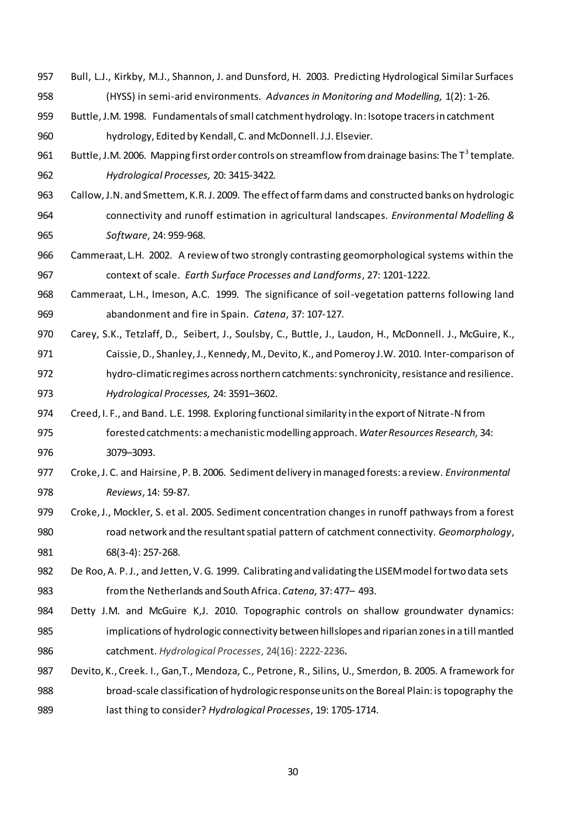- Bull, L.J., Kirkby, M.J., Shannon, J. and Dunsford, H. 2003. Predicting Hydrological Similar Surfaces (HYSS) in semi-arid environments. *Advances in Monitoring and Modelling,* 1(2): 1-26.
- Buttle, J.M. 1998. Fundamentals of small catchment hydrology. In: Isotope tracers in catchment

hydrology, Edited by Kendall, C. and McDonnell. J.J. Elsevier.

- $\;\;\;\;\;$  Buttle, J.M. 2006. Mapping first order controls on streamflow from drainage basins: The T $^3$  template. *Hydrological Processes,* 20: 3415-3422*.*
- Callow, J.N. and Smettem, K.R. J. 2009. The effect of farm dams and constructed banks on hydrologic connectivity and runoff estimation in agricultural landscapes. *Environmental Modelling & Software*, 24: 959-968.
- Cammeraat, L.H. 2002. A review of two strongly contrasting geomorphological systems within the context of scale. *Earth Surface Processes and Landforms*, 27: 1201-1222.
- Cammeraat, L.H., Imeson, A.C. 1999. The significance of soil-vegetation patterns following land abandonment and fire in Spain. *Catena*, 37: 107-127.
- Carey, S.K., Tetzlaff, D., Seibert, J., Soulsby, C., Buttle, J., Laudon, H., McDonnell. J., McGuire, K., Caissie,D., Shanley,J., Kennedy, M., Devito, K., and Pomeroy J.W. 2010. Inter-comparison of hydro-climatic regimes across northern catchments: synchronicity, resistance and resilience. *Hydrological Processes,* 24: 3591–3602.
- Creed, I. F., and Band. L.E. 1998. Exploring functional similarity in the export of Nitrate-N from forested catchments: a mechanistic modelling approach. *Water Resources Research,* 34: 3079–3093.
- Croke, J. C. and Hairsine, P. B. 2006. Sediment delivery in managed forests: a review. *Environmental Reviews*, 14: 59-87.
- Croke, J., Mockler, S. et al. 2005. Sediment concentration changes in runoff pathways from a forest road network and the resultant spatial pattern of catchment connectivity. *Geomorphology*, 68(3-4): 257-268.
- De Roo, A. P. J., and Jetten, V. G. 1999. Calibrating and validating the LISEM model for two data sets from the Netherlands and South Africa. *Catena,* 37: 477– 493.
- Detty J.M. and McGuire K,J. 2010. Topographic controls on shallow groundwater dynamics: implications of hydrologic connectivity between hillslopes and riparian zones in a till mantled catchment. *Hydrological Processes*, 24(16): 2222-2236**.**
- Devito, K., Creek. I., Gan,T., Mendoza, C., Petrone, R., Silins, U., Smerdon, B. 2005. A framework for broad-scale classification of hydrologic response units on the Boreal Plain: is topography the last thing to consider? *Hydrological Processes*, 19: 1705-1714.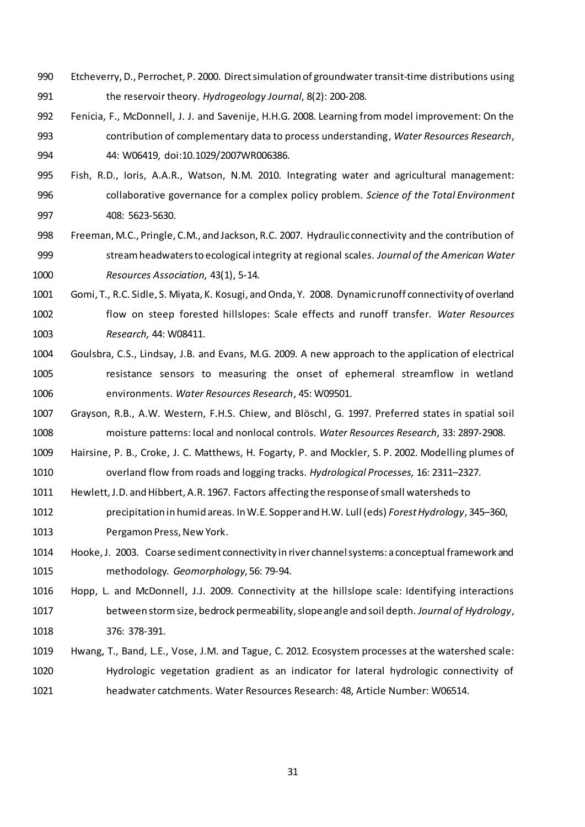- Etcheverry, D., Perrochet, P. 2000. Direct simulation of groundwater transit-time distributions using the reservoir theory. *Hydrogeology Journal*, 8(2): 200-208.
- Fenicia, F., McDonnell, J. J. and Savenije, H.H.G. 2008. Learning from model improvement: On the contribution of complementary data to process understanding, *Water Resources Research*, 44: W06419, doi:10.1029/2007WR006386.
- Fish, R.D., Ioris, A.A.R., Watson, N.M. 2010. Integrating water and agricultural management: collaborative governance for a complex policy problem. *Science of the Total Environment* 408: 5623-5630.
- Freeman, M.C., Pringle, C.M., and Jackson, R.C. 2007. Hydraulic connectivity and the contribution of stream headwaters to ecological integrity at regional scales. *Journal of the American Water Resources Association,* 43(1), 5-14*.*
- Gomi, T., R.C. Sidle, S. Miyata, K. Kosugi, and Onda, Y. 2008. Dynamic runoff connectivity of overland flow on steep forested hillslopes: Scale effects and runoff transfer. *Water Resources Research,* 44: W08411.
- Goulsbra, C.S., Lindsay, J.B. and Evans, M.G. 2009. A new approach to the application of electrical resistance sensors to measuring the onset of ephemeral streamflow in wetland environments. *Water Resources Research*, 45: W09501.
- Grayson, R.B., A.W. Western, F.H.S. Chiew, and Blöschl, G. 1997. Preferred states in spatial soil moisture patterns: local and nonlocal controls. *Water Resources Research,* 33: 2897-2908.
- Hairsine, P. B., Croke, J. C. Matthews, H. Fogarty, P. and Mockler, S. P. 2002. Modelling plumes of overland flow from roads and logging tracks. *Hydrological Processes,* 16: 2311–2327.
- Hewlett, J.D. and Hibbert, A.R. 1967. Factors affecting the response of small watersheds to
- precipitation in humid areas. In W.E. Sopper and H.W. Lull (eds) *Forest Hydrology*, 345–360, Pergamon Press, New York.
- Hooke, J. 2003. Coarse sediment connectivity in river channel systems: a conceptual framework and methodology. *Geomorphology*, 56: 79-94.
- Hopp, L. and McDonnell, J.J. 2009. Connectivity at the hillslope scale: Identifying interactions between storm size, bedrock permeability, slope angle and soil depth. *Journal of Hydrology*, 376: 378-391.
- Hwang, T., Band, L.E., Vose, J.M. and Tague, C. 2012. Ecosystem processes at the watershed scale: Hydrologic vegetation gradient as an indicator for lateral hydrologic connectivity of headwater catchments. Water Resources Research: 48, Article Number: W06514.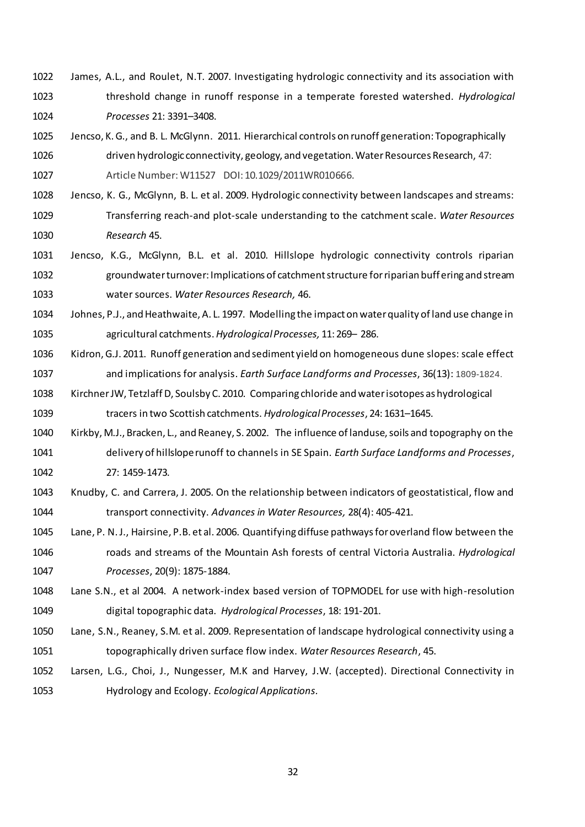- James, A.L., and Roulet, N.T. 2007. Investigating hydrologic connectivity and its association with threshold change in runoff response in a temperate forested watershed. *Hydrological Processes* 21: 3391–3408.
- Jencso, K. G., and B. L. McGlynn. 2011. Hierarchical controls on runoff generation: Topographically driven hydrologic connectivity, geology, and vegetation. Water Resources Research, 47: Article Number: W11527 DOI: 10.1029/2011WR010666.
- 
- Jencso, K. G., McGlynn, B. L. et al. 2009. Hydrologic connectivity between landscapes and streams: Transferring reach-and plot-scale understanding to the catchment scale. *Water Resources Research* 45.
- Jencso, K.G., McGlynn, B.L. et al. 2010. Hillslope hydrologic connectivity controls riparian groundwater turnover: Implications of catchment structure for riparian buffering and stream water sources. *Water Resources Research,* 46.
- Johnes, P.J., and Heathwaite, A. L. 1997. Modelling the impact on water quality of land use change in agricultural catchments.*HydrologicalProcesses,* 11: 269– 286.
- Kidron, G.J. 2011. Runoff generation and sediment yield on homogeneous dune slopes: scale effect and implications for analysis. *Earth Surface Landforms and Processes*, 36(13): 1809-1824.
- Kirchner JW, Tetzlaff D, Soulsby C. 2010. Comparing chloride and water isotopes as hydrological tracers in two Scottish catchments. *Hydrological Processes*, 24: 1631–1645.
- Kirkby, M.J., Bracken, L., and Reaney, S. 2002. The influence of landuse, soils and topography on the delivery of hillslope runoff to channels in SE Spain. *Earth Surface Landforms and Processes*, 27: 1459-1473*.*
- Knudby, C. and Carrera, J. 2005. On the relationship between indicators of geostatistical, flow and transport connectivity. *Advances in Water Resources,* 28(4): 405-421.
- Lane, P. N. J., Hairsine, P.B. et al. 2006. Quantifying diffuse pathways for overland flow between the roads and streams of the Mountain Ash forests of central Victoria Australia. *Hydrological Processes*, 20(9): 1875-1884.
- Lane S.N., et al 2004. A network-index based version of TOPMODEL for use with high-resolution digital topographic data. *Hydrological Processes*, 18: 191-201.
- Lane, S.N., Reaney, S.M. et al. 2009. Representation of landscape hydrological connectivity using a topographically driven surface flow index. *Water Resources Research*, 45.
- Larsen, L.G., Choi, J., Nungesser, M.K and Harvey, J.W. (accepted). Directional Connectivity in Hydrology and Ecology. *Ecological Applications.*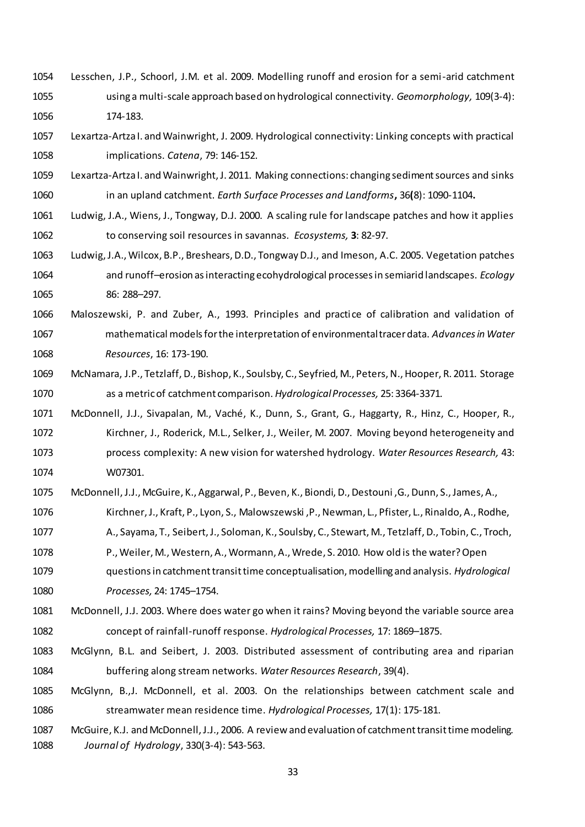- Lesschen, J.P., Schoorl, J.M. et al. 2009. Modelling runoff and erosion for a semi-arid catchment using a multi-scale approach based on hydrological connectivity. *Geomorphology,* 109(3-4): 174-183.
- Lexartza-Artza I. and Wainwright, J. 2009. Hydrological connectivity: Linking concepts with practical implications. *Catena*, 79: 146-152.
- Lexartza-Artza I. and Wainwright, J. 2011. Making connections: changing sediment sources and sinks in an upland catchment. *Earth Surface Processes and Landforms***,** 36**(**8): 1090-1104**.**
- Ludwig, J.A., Wiens, J., Tongway, D.J. 2000. A scaling rule for landscape patches and how it applies to conserving soil resources in savannas. *Ecosystems,* **3**: 82-97.
- Ludwig, J.A., Wilcox, B.P., Breshears, D.D., Tongway D.J., and Imeson, A.C. 2005. Vegetation patches and runoff–erosion as interacting ecohydrological processes in semiarid landscapes. *Ecology* 86: 288–297.
- Maloszewski, P. and Zuber, A., 1993. Principles and practice of calibration and validation of mathematical models for the interpretation of environmental tracer data. *Advances in Water Resources*, 16: 173-190.
- McNamara, J.P., Tetzlaff,D., Bishop, K., Soulsby, C., Seyfried, M., Peters,N., Hooper, R. 2011. Storage as a metric of catchment comparison. *Hydrological Processes,* 25: 3364-3371*.*
- McDonnell, J.J., Sivapalan, M., Vaché, K., Dunn, S., Grant, G., Haggarty, R., Hinz, C., Hooper, R., Kirchner, J., Roderick, M.L., Selker, J., Weiler, M. 2007. Moving beyond heterogeneity and process complexity: A new vision for watershed hydrology. *Water Resources Research,* 43: W07301.
- McDonnell,J.J., McGuire, K., Aggarwal, P., Beven, K., Biondi,D., Destouni ,G., Dunn, S., James, A.,
- Kirchner,J., Kraft, P., Lyon, S., Malowszewski ,P., Newman, L., Pfister, L., Rinaldo, A., Rodhe,
- A., Sayama, T., Seibert,J., Soloman, K., Soulsby, C., Stewart, M., Tetzlaff,D., Tobin, C., Troch,
- P., Weiler, M., Western, A., Wormann, A., Wrede, S. 2010. How old is the water? Open
- questions in catchment transit time conceptualisation, modelling and analysis. *Hydrological Processes,* 24: 1745–1754.
- McDonnell, J.J. 2003. Where does water go when it rains? Moving beyond the variable source area concept of rainfall-runoff response. *Hydrological Processes,* 17: 1869–1875.
- McGlynn, B.L. and Seibert, J. 2003. Distributed assessment of contributing area and riparian buffering along stream networks. *Water Resources Research*, 39(4).
- McGlynn, B.,J. McDonnell, et al. 2003. On the relationships between catchment scale and streamwater mean residence time. *Hydrological Processes,* 17(1): 175-181.
- McGuire, K.J. and McDonnell, J.J., 2006. A review and evaluation of catchment transit time modeling. *Journal of Hydrology*, 330(3-4): 543-563.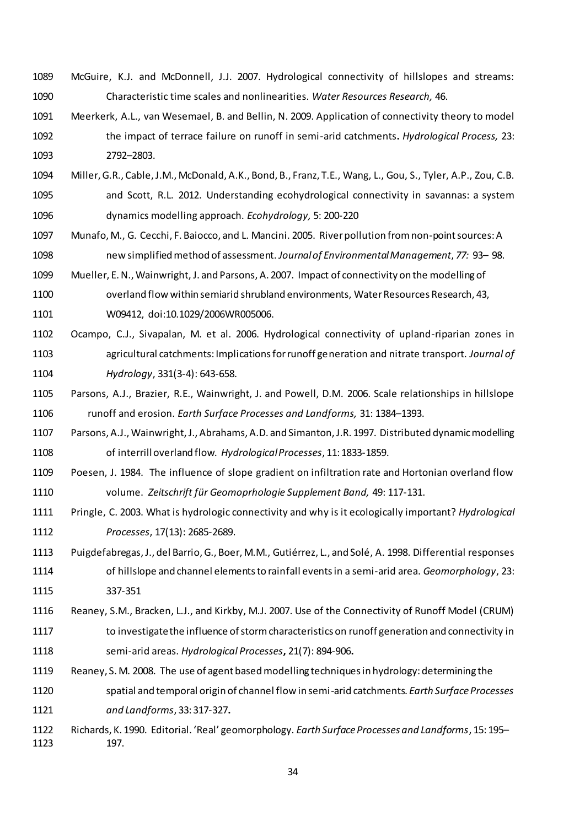- McGuire, K.J. and McDonnell, J.J. 2007. Hydrological connectivity of hillslopes and streams: Characteristic time scales and nonlinearities. *Water Resources Research,* 46.
- Meerkerk, A.L., van Wesemael, B. and Bellin, N. 2009. Application of connectivity theory to model the impact of terrace failure on runoff in semi-arid catchments**.** *Hydrological Process,* 23: 2792–2803.
- Miller, G.R., Cable, J.M., McDonald, A.K., Bond, B., Franz, T.E., Wang, L., Gou, S., Tyler, A.P., Zou, C.B. and Scott, R.L. 2012. Understanding ecohydrological connectivity in savannas: a system dynamics modelling approach. *Ecohydrology,* 5: 200-220
- Munafo, M., G. Cecchi, F. Baiocco, and L. Mancini. 2005. River pollution from non-point sources: A new simplified method of assessment. *Journal of EnvironmentalManagement*, *77:* 93– 98.
- Mueller, E. N., Wainwright, J. and Parsons, A. 2007. Impact of connectivity on the modelling of
- overland flow within semiarid shrubland environments, Water Resources Research, 43, W09412, doi:10.1029/2006WR005006.
- Ocampo, C.J., Sivapalan, M. et al. 2006. Hydrological connectivity of upland-riparian zones in agricultural catchments: Implications for runoff generation and nitrate transport. *Journal of Hydrology*, 331(3-4): 643-658.
- Parsons, A.J., Brazier, R.E., Wainwright, J. and Powell, D.M. 2006. Scale relationships in hillslope runoff and erosion. *Earth Surface Processes and Landforms,* 31: 1384–1393.
- Parsons, A.J., Wainwright, J., Abrahams, A.D. and Simanton, J.R. 1997. Distributed dynamic modelling of interrilloverland flow. *Hydrological Processes*, 11: 1833-1859.
- Poesen, J. 1984. The influence of slope gradient on infiltration rate and Hortonian overland flow volume. *Zeitschrift für Geomoprhologie Supplement Band,* 49: 117-131.
- Pringle, C. 2003. What is hydrologic connectivity and why is it ecologically important? *Hydrological Processes*, 17(13): 2685-2689.
- Puigdefabregas,J., del Barrio,G., Boer, M.M., Gutiérrez, L., and Solé, A. 1998. Differential responses of hillslope and channel elements to rainfall events in a semi-arid area. *Geomorphology*, 23: 337-351
- Reaney, S.M., Bracken, L.J., and Kirkby, M.J. 2007. Use of the Connectivity of Runoff Model (CRUM) to investigate the influence of storm characteristics on runoff generation and connectivity in semi-arid areas. *Hydrological Processes***,** 21(7): 894-906**.**
- Reaney, S. M. 2008. The use of agent based modelling techniques in hydrology: determining the
- spatial and temporal origin of channel flow in semi-arid catchments. *Earth Surface Processes and Landforms*, 33: 317-327**.**
- Richards, K. 1990. Editorial. 'Real' geomorphology. *Earth Surface Processes and Landforms*, 15: 195– 197.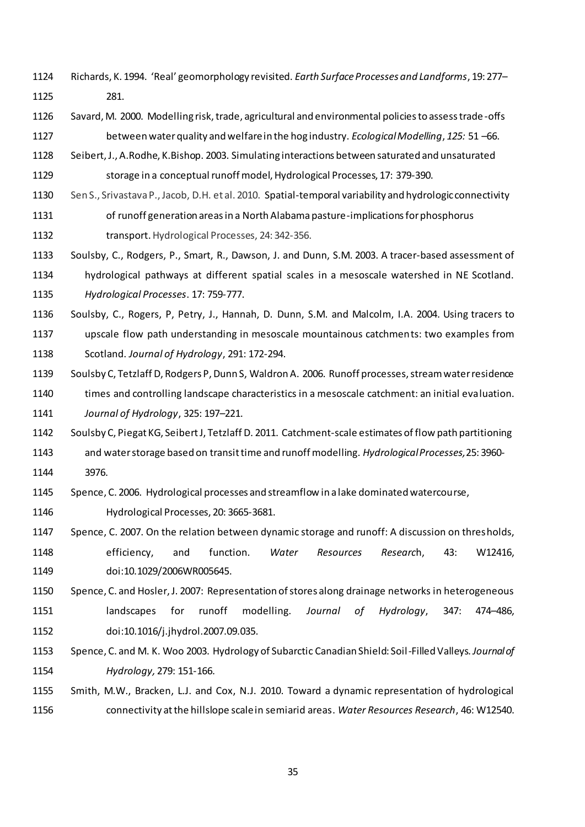- Richards, K. 1994. 'Real' geomorphology revisited. *Earth Surface Processes and Landforms*, 19: 277– 281.
- Savard, M. 2000. Modelling risk, trade, agricultural and environmental policies to assess trade -offs
- between water quality and welfare in the hog industry. *Ecological Modelling*, *125:* 51 –66.
- Seibert, J., A.Rodhe, K.Bishop. 2003. Simulating interactions between saturated and unsaturated storage in a conceptual runoff model, Hydrological Processes, 17: 379-390.
- Sen S., Srivastava P., Jacob, D.H. et al. 2010. Spatial-temporal variability and hydrologic connectivity of runoff generation areas in a North Alabama pasture-implications for phosphorus transport. Hydrological Processes, 24: 342-356.
- Soulsby, C., Rodgers, P., Smart, R., Dawson, J. and Dunn, S.M. 2003. A tracer-based assessment of
- hydrological pathways at different spatial scales in a mesoscale watershed in NE Scotland. *Hydrological Processes*. 17: 759-777.
- Soulsby, C., Rogers, P, Petry, J., Hannah, D. Dunn, S.M. and Malcolm, I.A. 2004. Using tracers to upscale flow path understanding in mesoscale mountainous catchments: two examples from Scotland. *Journal of Hydrology*, 291: 172-294.
- Soulsby C, Tetzlaff D, Rodgers P, Dunn S, Waldron A. 2006. Runoff processes, stream water residence times and controlling landscape characteristics in a mesoscale catchment: an initial evaluation. *Journal of Hydrology*, 325: 197–221.
- Soulsby C, Piegat KG, Seibert J, Tetzlaff D. 2011. Catchment-scale estimates of flow path partitioning and water storage based on transit time and runoff modelling. *Hydrological Processes,*25: 3960- 3976.
- Spence, C. 2006. Hydrological processes and streamflow in a lake dominated watercourse,
- Hydrological Processes, 20: 3665-3681.
- Spence, C. 2007. On the relation between dynamic storage and runoff: A discussion on thresholds, efficiency, and function. *Water Resources Researc*h, 43: W12416, doi:10.1029/2006WR005645.
- Spence, C. and Hosler, J. 2007: Representation of stores along drainage networks in heterogeneous landscapes for runoff modelling. *Journal of Hydrology*, 347: 474–486, doi:10.1016/j.jhydrol.2007.09.035.
- Spence, C. and M. K. Woo 2003. Hydrology of Subarctic Canadian Shield: Soil-Filled Valleys. *Journal of Hydrology,* 279: 151-166.
- Smith, M.W., Bracken, L.J. and Cox, N.J. 2010. Toward a dynamic representation of hydrological connectivity at the hillslope scale in semiarid areas. *Water Resources Research*, 46: W12540.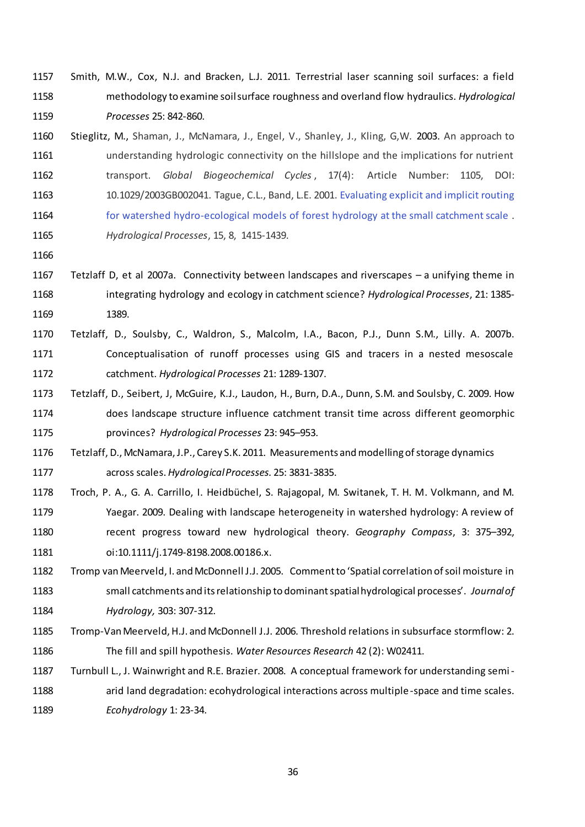- Smith, M.W., Cox, N.J. and Bracken, L.J. 2011. Terrestrial laser scanning soil surfaces: a field methodology to examine soil surface roughness and overland flow hydraulics. *Hydrological Processes* 25: 842-860.
- Stieglitz, M., Shaman, J., McNamara, J., Engel, V., Shanley, J., Kling, G,W. 2003. An approach to understanding hydrologic connectivity on the hillslope and the implications for nutrient transport. *Global Biogeochemical Cycles* , 17(4): Article Number: 1105, DOI: 10.1029/2003GB002041. Tague, C.L., Band, L.E. 2001. [Evaluating explicit and implicit routing](http://apps.webofknowledge.com/full_record.do?product=UA&search_mode=GeneralSearch&qid=11&SID=V28hjboc7D9ddkPPc7a&page=1&doc=8)  [for watershed hydro-ecological models of forest hydrology at the small catchment scale .](http://apps.webofknowledge.com/full_record.do?product=UA&search_mode=GeneralSearch&qid=11&SID=V28hjboc7D9ddkPPc7a&page=1&doc=8) *Hydrological Processes*, 15, 8, 1415-1439.
- 
- Tetzlaff D, et al 2007a. Connectivity between landscapes and riverscapes a unifying theme in integrating hydrology and ecology in catchment science? *Hydrological Processes*, 21: 1385- 1389.
- Tetzlaff, D., Soulsby, C., Waldron, S., Malcolm, I.A., Bacon, P.J., Dunn S.M., Lilly. A. 2007b. Conceptualisation of runoff processes using GIS and tracers in a nested mesoscale catchment. *Hydrological Processes* 21: 1289-1307.
- Tetzlaff, D., Seibert, J, McGuire, K.J., Laudon, H., Burn, D.A., Dunn, S.M. and Soulsby, C. 2009. How does landscape structure influence catchment transit time across different geomorphic provinces? *Hydrological Processes* 23: 945–953.
- Tetzlaff,D., McNamara,J.P., Carey S.K. 2011. Measurements and modelling of storage dynamics across scales. *Hydrological Processes.* 25: 3831-3835.
- Troch, P. A., G. A. Carrillo, I. Heidbüchel, S. Rajagopal, M. Switanek, T. H. M. Volkmann, and M. Yaegar. 2009. Dealing with landscape heterogeneity in watershed hydrology: A review of recent progress toward new hydrological theory. *Geography Compass*, 3: 375–392, oi:10.1111/j.1749-8198.2008.00186.x.
- Tromp van Meerveld, I. and McDonnell J.J. 2005. Comment to 'Spatial correlation of soil moisture in small catchments and its relationship to dominant spatial hydrological processes'. *Journal of Hydrology,* 303: 307-312.
- Tromp-Van Meerveld, H.J. and McDonnell J.J. 2006. Threshold relations in subsurface stormflow: 2. The fill and spill hypothesis. *Water Resources Research* 42 (2): W02411.
- Turnbull L., J. Wainwright and R.E. Brazier. 2008. A conceptual framework for understanding semi- arid land degradation: ecohydrological interactions across multiple-space and time scales. *Ecohydrology* 1: 23-34.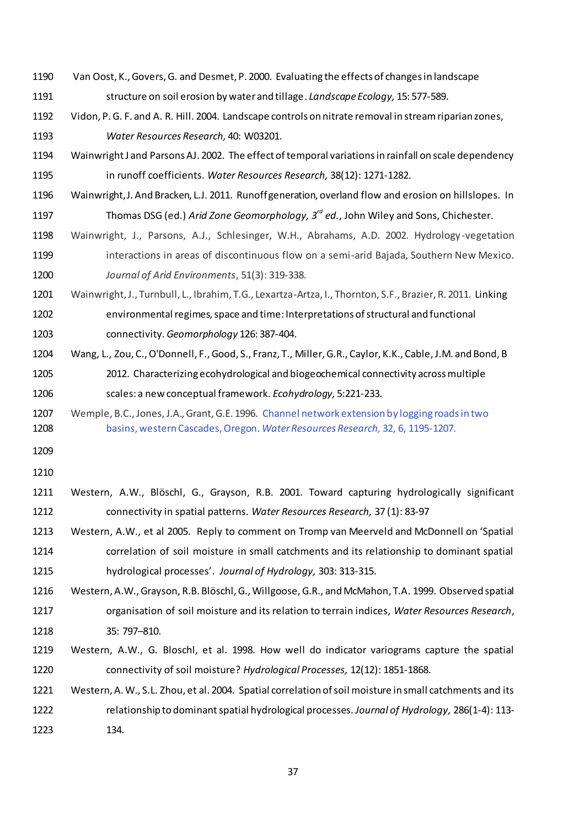- Van Oost, K., Govers, G. and Desmet, P. 2000. Evaluating the effects of changes in landscape structure on soil erosion by water and tillage. *Landscape Ecology,* 15: 577-589.
- Vidon, P. G. F. and A. R. Hill. 2004. Landscape controls on nitrate removal in stream riparian zones, *Water Resources Research,* 40: W03201.
- WainwrightJ and Parsons AJ. 2002. The effect of temporal variations in rainfall on scale dependency in runoff coefficients. *Water Resources Research,* 38(12): 1271-1282.
- Wainwright, J. And Bracken, L.J. 2011. Runoff generation, overland flow and erosion on hillslopes. In Thomas DSG (ed.) *Arid Zone Geomorphology, 3rd ed.*, John Wiley and Sons, Chichester.
- Wainwright, J., Parsons, A.J., Schlesinger, W.H., Abrahams, A.D. 2002. Hydrology-vegetation 1199 interactions in areas of discontinuous flow on a semi-arid Bajada, Southern New Mexico. *Journal of Arid Environments*, 51(3): 319-338.
- Wainwright, J., Turnbull, L., Ibrahim, T.G., Lexartza-Artza, I., Thornton, S.F., Brazier, R. 2011. Linking environmental regimes, space and time: Interpretations of structural and functional connectivity. *Geomorphology* 126: 387-404.
- Wang, L., Zou, C., O'Donnell, F., Good, S., Franz, T., Miller, G.R., Caylor, K.K., Cable, J.M. and Bond, B 2012. Characterizing ecohydrological and biogeochemical connectivity across multiple scales: a new conceptual framework. *Ecohydrology,* 5:221-233.
- Wemple, B.C., Jones, J.A., Grant, G.E. 1996. Channel network extension by logging roads in two basins, western Cascades, Oregon. *Water Resources Research,* 32, 6, 1195-1207.
- 
- 
- Western, A.W., Blöschl, G., Grayson, R.B. 2001. Toward capturing hydrologically significant connectivity in spatial patterns. *Water Resources Research,* 37 (1): 83-97
- Western, A.W., et al 2005. Reply to comment on Tromp van Meerveld and McDonnell on 'Spatial correlation of soil moisture in small catchments and its relationship to dominant spatial hydrological processes'. *Journal of Hydrology,* 303: 313-315.
- Western, A.W., Grayson, R.B. Blöschl, G., Willgoose, G.R., and McMahon, T.A. 1999. Observed spatial organisation of soil moisture and its relation to terrain indices, *Water Resources Research*, 35: 797–810.
- Western, A.W., G. Bloschl, et al. 1998. How well do indicator variograms capture the spatial connectivity of soil moisture? *Hydrological Processes,* 12(12): 1851-1868.
- Western, A. W., S.L. Zhou, et al. 2004. Spatial correlation of soil moisture in small catchments and its relationship to dominant spatial hydrological processes. *Journal of Hydrology,* 286(1-4): 113- 134.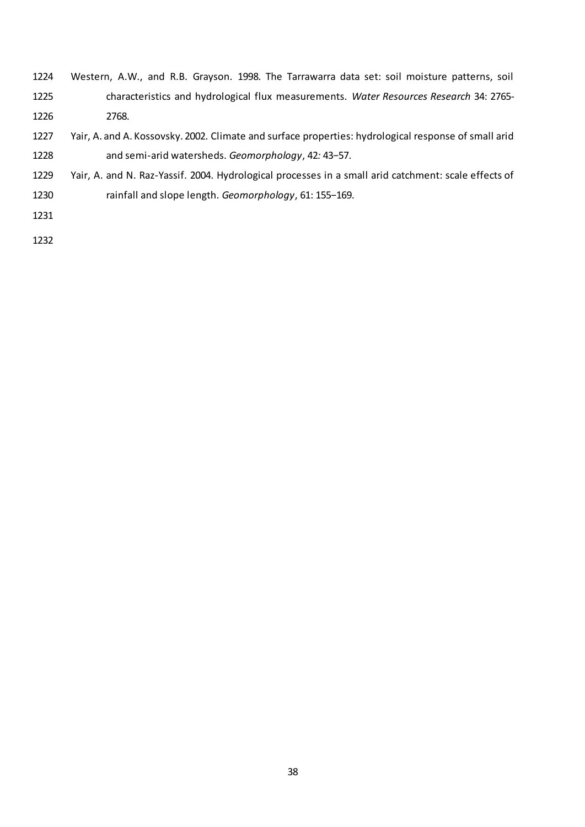- Western, A.W., and R.B. Grayson. 1998. The Tarrawarra data set: soil moisture patterns, soil characteristics and hydrological flux measurements. *Water Resources Research* 34: 2765- 2768.
- Yair, A. and A. Kossovsky. 2002. Climate and surface properties: hydrological response of small arid and semi-arid watersheds. *Geomorphology*, 42*:* 43−57.
- Yair, A. and N. Raz-Yassif. 2004. Hydrological processes in a small arid catchment: scale effects of rainfall and slope length. *Geomorphology*, 61: 155−169.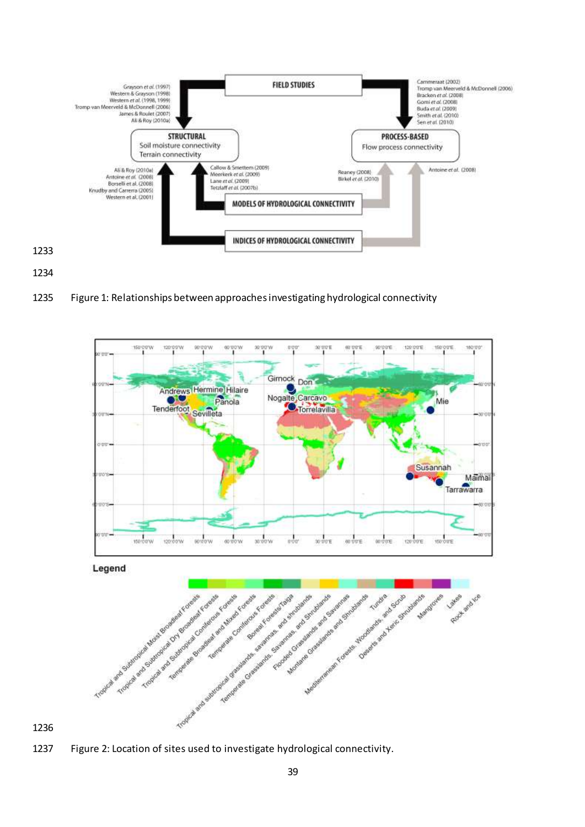





Figure 2: Location of sites used to investigate hydrological connectivity.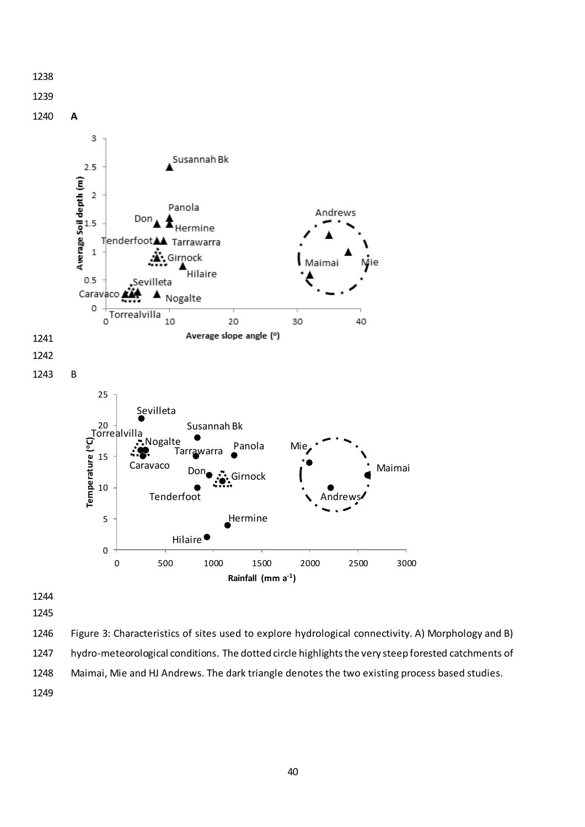

 Figure 3: Characteristics of sites used to explore hydrological connectivity. A) Morphology and B) hydro-meteorological conditions. The dotted circle highlights the very steep forested catchments of Maimai, Mie and HJ Andrews. The dark triangle denotes the two existing process based studies. 1249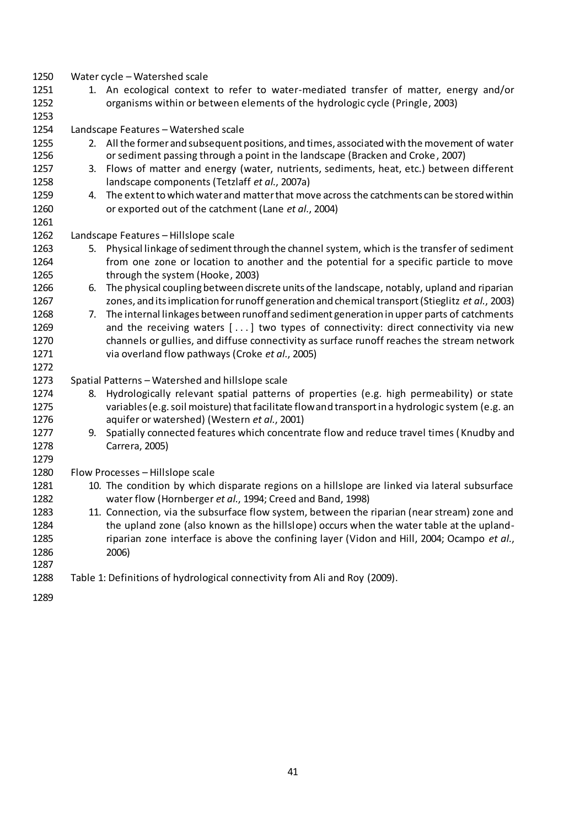Water cycle – Watershed scale 1251 1. An ecological context to refer to water-mediated transfer of matter, energy and/or organisms within or between elements of the hydrologic cycle (Pringle, 2003) Landscape Features – Watershed scale 2. All the former and subsequent positions, and times, associated with the movement of water or sediment passing through a point in the landscape (Bracken and Croke, 2007) 3. Flows of matter and energy (water, nutrients, sediments, heat, etc.) between different landscape components (Tetzlaff *et al*., 2007a) 4. The extent to which water and matter that move across the catchments can be stored within or exported out of the catchment (Lane *et al*., 2004) Landscape Features – Hillslope scale 5. Physical linkage of sediment through the channel system, which is the transfer of sediment from one zone or location to another and the potential for a specific particle to move through the system (Hooke, 2003) 6. The physical coupling between discrete units of the landscape, notably, upland and riparian zones, and its implication for runoff generation and chemical transport (Stieglitz *et al*., 2003) 7. The internal linkages between runoff and sediment generation in upper parts of catchments 1269 and the receiving waters [...] two types of connectivity: direct connectivity via new channels or gullies, and diffuse connectivity as surface runoff reaches the stream network via overland flow pathways (Croke *et al*., 2005) Spatial Patterns – Watershed and hillslope scale 8. Hydrologically relevant spatial patterns of properties (e.g. high permeability) or state variables (e.g. soil moisture) that facilitate flow and transport in a hydrologic system (e.g. an aquifer or watershed) (Western *et al*., 2001) 9. Spatially connected features which concentrate flow and reduce travel times [\(Knudby and](http://onlinelibrary.wiley.com/doi/10.1111/j.1749-8198.2008.00180.x/full#b45)  [Carrera,](http://onlinelibrary.wiley.com/doi/10.1111/j.1749-8198.2008.00180.x/full#b45) 2005) Flow Processes – Hillslope scale 10. The condition by which disparate regions on a hillslope are linked via lateral subsurface water flow [\(Hornberger](http://onlinelibrary.wiley.com/doi/10.1111/j.1749-8198.2008.00180.x/full#b40) *et al*., 1994; Creed and Band, 1998) 11. Connection, via the subsurface flow system, between the riparian (near stream) zone and the upland zone (also known as the hillslope) occurs when the water table at the upland- riparian zone interface is above the confining layer (Vidon and Hill, 2004; Ocampo *et al*., 2006) Table 1: Definitions of hydrological connectivity from Ali and Roy (2009).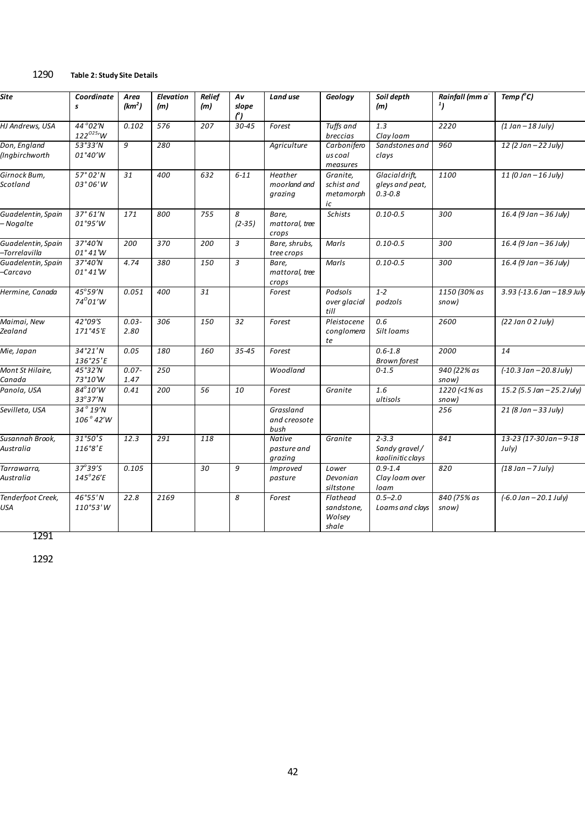# 1290 **Table 2: Study Site Details**

| Site                                | Coordinate<br>s                    | Area<br>(km <sup>2</sup> ) | <b>Elevation</b><br>(m) | <b>Relief</b><br>(m) | Αv<br>slope<br>C) | Land use                           | Geology                                   | Soil depth<br>(m)                                | Rainfall (mm a<br>$\mathbf{1}$ | Temp (°C)                                 |
|-------------------------------------|------------------------------------|----------------------------|-------------------------|----------------------|-------------------|------------------------------------|-------------------------------------------|--------------------------------------------------|--------------------------------|-------------------------------------------|
| HJ Andrews, USA                     | 44 ° 02'N<br>$122^{025}$ 'W        | 0.102                      | 576                     | 207                  | $30 - 45$         | Forest                             | Tuffs and<br>breccias                     | 1.3<br>Clay loam                                 | 2220                           | $(1 Jan - 18 July)$                       |
| Don, England<br>(Ingbirchworth      | 53°33'N<br>01°40'W                 | 9                          | 280                     |                      |                   | Agriculture                        | Carbonifero<br>us coal<br>measures        | Sandstones and<br>clays                          | 960                            | $12 (2 Jan - 22 July)$                    |
| Girnock Bum,<br>Scotland            | 57°02'N<br>03°06'W                 | 31                         | 400                     | 632                  | $6 - 11$          | Heather<br>moorland and<br>grazing | Granite,<br>schist and<br>metamorph<br>ic | Glacial drift,<br>gleys and peat,<br>$0.3 - 0.8$ | 1100                           | $11(0 \text{ Jan} - 16 \text{ July})$     |
| Guadelentin, Spain<br>- Nogalte     | 37°61'N<br>01°95'W                 | 171                        | 800                     | 755                  | 8<br>$(2-35)$     | Bare,<br>mattoral, tree<br>crops   | <b>Schists</b>                            | $0.10 - 0.5$                                     | 300                            | 16.4 (9 Jan - 36 July)                    |
| Guadelentin, Spain<br>-Torrelavilla | 37°40'N<br>01°41'W                 | 200                        | 370                     | 200                  | 3                 | Bare, shrubs,<br>tree crops        | Marls                                     | $0.10 - 0.5$                                     | 300                            | $16.4 (9 Jan - 36 July)$                  |
| Guadelentin, Spain<br>-Carcavo      | 37°40'N<br>01°41'W                 | 4.74                       | 380                     | 150                  | 3                 | Bare,<br>mattoral, tree<br>crops   | Marls                                     | $0.10 - 0.5$                                     | 300                            | $16.4 (9 Jan - 36 July)$                  |
| Hermine, Canada                     | 45°59'N<br>74 $^{\circ}$ 01'W      | 0.051                      | 400                     | 31                   |                   | Forest                             | Podsols<br>over glacial<br>till           | $1 - 2$<br>podzols                               | 1150 (30% as<br>snow)          | $3.93$ (-13.6 Jan - 18.9 July             |
| Maimai, New<br>Zealand              | 42°09'S<br>171°45'E                | $0.03 -$<br>2.80           | 306                     | 150                  | 32                | Forest                             | Pleistocene<br>conglomera<br>te           | 0.6<br>Silt loams                                | 2600                           | (22 Jan 0 2 July)                         |
| Mie, Japan                          | 34°21'N<br>136°25'E                | 0.05                       | 180                     | 160                  | 35-45             | Forest                             |                                           | $0.6 - 1.8$<br><b>Brown forest</b>               | 2000                           | 14                                        |
| Mont St Hilaire,<br>Canada          | 45°32'N<br>73°10'W                 | $0.07 -$<br>1.47           | 250                     |                      |                   | Woodland                           |                                           | $0 - 1.5$                                        | 940 (22% as<br>snow)           | $(-10.3 \text{ Jan} - 20.8 \text{ July})$ |
| Panola, USA                         | 84°10'W<br>33°37'N                 | 0.41                       | 200                     | 56                   | 10                | Forest                             | Granite                                   | 1.6<br>ultisols                                  | 1220 (<1% as<br>snow)          | $15.2$ (5.5 Jan $-25.2$ July)             |
| Sevilleta, USA                      | 34°19'N<br>106°42'W                |                            |                         |                      |                   | Grassland<br>and creosote<br>bush  |                                           |                                                  | 256                            | 21 (8 Jan - 33 July)                      |
| Susannah Brook,<br>Australia        | 31°50'5<br>116°8'E                 | 12.3                       | 291                     | 118                  |                   | Native<br>pasture and<br>grazing   | Granite                                   | $2 - 3.3$<br>Sandy gravel/<br>kaolinitic clays   | 841                            | $13 - 23$ (17-30Jan - 9-18)<br>July)      |
| Tarrawarra,<br>Australia            | $37^\circ 39^\prime 5$<br>145°26'E | 0.105                      |                         | 30                   | 9                 | <i>Improved</i><br>pasture         | Lower<br>Devonian<br>siltstone            | $0.9 - 1.4$<br>Clay loam over<br>loam            | 820                            | $(18 \text{ Jan} - 7 \text{ July})$       |
| Tenderfoot Creek,<br>USA            | 46°55'N<br>110°53'W                | 22.8                       | 2169                    |                      | 8                 | Forest                             | Flathead<br>sandstone,<br>Wolsey<br>shale | $0.5 - 2.0$<br>Loams and clays                   | 840 (75% as<br>snow)           | $(-6.0 \text{ Jan} - 20.1 \text{ July})$  |

1291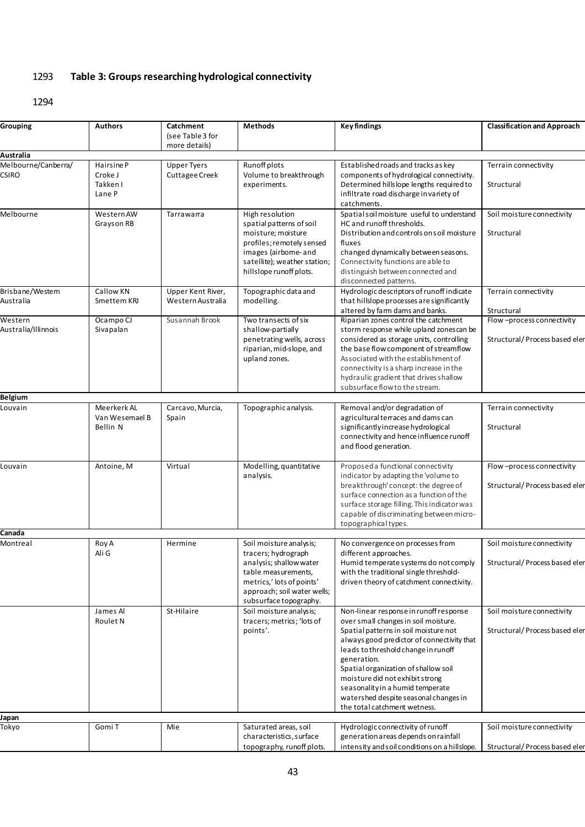# 1293 **Table 3: Groups researching hydrological connectivity**

| Grouping                            | <b>Authors</b>                              | Catchment<br>(see Table 3 for<br>more details) | <b>Methods</b>                                                                                                                                                                         | <b>Key findings</b>                                                                                                                                                                                                                                                                                                                                                                                                 | <b>Classification and Approach</b>                          |
|-------------------------------------|---------------------------------------------|------------------------------------------------|----------------------------------------------------------------------------------------------------------------------------------------------------------------------------------------|---------------------------------------------------------------------------------------------------------------------------------------------------------------------------------------------------------------------------------------------------------------------------------------------------------------------------------------------------------------------------------------------------------------------|-------------------------------------------------------------|
| Australia                           |                                             |                                                |                                                                                                                                                                                        |                                                                                                                                                                                                                                                                                                                                                                                                                     |                                                             |
| Melbourne/Canberra/<br><b>CSIRO</b> | Hairsine P<br>Croke J<br>Takken I<br>Lane P | <b>Upper Tyers</b><br>Cuttagee Creek           | Runoff plots<br>Volume to breakthrough<br>experiments.                                                                                                                                 | Established roads and tracks as key<br>components of hydrological connectivity.<br>Determined hillslope lengths required to<br>infiltrate road discharge in variety of<br>catchments.                                                                                                                                                                                                                               | Terrain connectivity<br>Structural                          |
| Melbourne                           | WesternAW<br>Grayson RB                     | Tarrawarra                                     | High resolution<br>spatial patterns of soil<br>moisture; moisture<br>profiles; remotely sensed<br>images (airbome-and<br>satellite); weather station;<br>hillslope runoff plots.       | Spatial soil moisture useful to understand<br>HC and runoff thresholds.<br>Distribution and controls on soil moisture<br>fluxes<br>changed dynamically between seasons.<br>Connectivity functions are able to<br>distinguish between connected and<br>disconnected patterns.                                                                                                                                        | Soil moisture connectivity<br>Structural                    |
| Brisbane/Westem<br>Australia        | Callow KN<br>Smettem KRJ                    | Upper Kent River,<br>Western Australia         | Topographic data and<br>modelling.                                                                                                                                                     | Hydrologic descriptors of runoff indicate<br>that hillslope processes are significantly<br>altered by farm dams and banks.                                                                                                                                                                                                                                                                                          | Terrain connectivity<br>Structural                          |
| Western<br>Australia/Illinnois      | Ocampo CJ<br>Sivapalan                      | Susannah Brook                                 | Two transects of six<br>shallow-partially<br>penetrating wells, across<br>riparian, mid-slope, and<br>upland zones.                                                                    | Riparian zones control the catchment<br>storm response while upland zonescan be<br>considered as storage units, controlling<br>the base flow component of streamflow<br>Associated with the establishment of<br>connectivity is a sharp increase in the<br>hydraulic gradient that drives shallow<br>subsurface flow to the stream.                                                                                 | Flow -process connectivity<br>Structural/Process based eler |
| Belgium                             |                                             |                                                |                                                                                                                                                                                        |                                                                                                                                                                                                                                                                                                                                                                                                                     |                                                             |
| Louvain                             | Meerkerk AL<br>Van Wesemael B<br>Bellin N   | Carcavo, Murcia,<br>Spain                      | Topographic analysis.                                                                                                                                                                  | Removal and/or degradation of<br>agricultural terraces and dams can<br>significantly increase hydrological<br>connectivity and hence influence runoff<br>and flood generation.                                                                                                                                                                                                                                      | Terrain connectivity<br>Structural                          |
| Louvain                             | Antoine, M                                  | Virtual                                        | Modelling, quantitative<br>analysis.                                                                                                                                                   | Proposed a functional connectivity<br>indicator by adapting the 'volume to<br>breakthrough' concept: the degree of<br>surface connection as a function of the<br>surface storage filling. This indicator was<br>capable of discriminating between micro-<br>topographical types.                                                                                                                                    | Flow -process connectivity<br>Structural/Process based eler |
| Canada                              |                                             |                                                |                                                                                                                                                                                        |                                                                                                                                                                                                                                                                                                                                                                                                                     |                                                             |
| Montreal                            | Roy A<br>Ali G                              | Hermine                                        | Soil moisture analysis;<br>tracers; hydrograph<br>analysis; shallow water<br>table measurements,<br>metrics,' lots of points'<br>approach; soil water wells;<br>subsurface topography. | No convergence on processes from<br>different approaches.<br>Humid temperate systems do not comply<br>with the traditional single threshold-<br>driven theory of catchment connectivity.                                                                                                                                                                                                                            | Soil moisture connectivity<br>Structural/Process based eler |
|                                     | James Al<br>Roulet N                        | St-Hilaire                                     | Soil moisture analysis;<br>tracers; metrics; 'lots of<br>points'.                                                                                                                      | Non-linear response in runoff response<br>over small changes in soil moisture.<br>Spatial patterns in soil moisture not<br>always good predictor of connectivity that<br>leads to threshold change in runoff<br>generation.<br>Spatial organization of shallow soil<br>moisture did not exhibit strong<br>seasonality in a humid temperate<br>watershed despite seasonal changes in<br>the total catchment wetness. | Soil moisture connectivity<br>Structural/Process based eler |
| Japan                               |                                             |                                                |                                                                                                                                                                                        |                                                                                                                                                                                                                                                                                                                                                                                                                     |                                                             |
| Tokyo                               | Gomi T                                      | Mie                                            | Saturated areas, soil<br>characteristics, surface<br>topography, runoff plots.                                                                                                         | Hydrologic connectivity of runoff<br>generation areas depends on rainfall<br>intensity and soil conditions on a hillslope.                                                                                                                                                                                                                                                                                          | Soil moisture connectivity<br>Structural/Process based eler |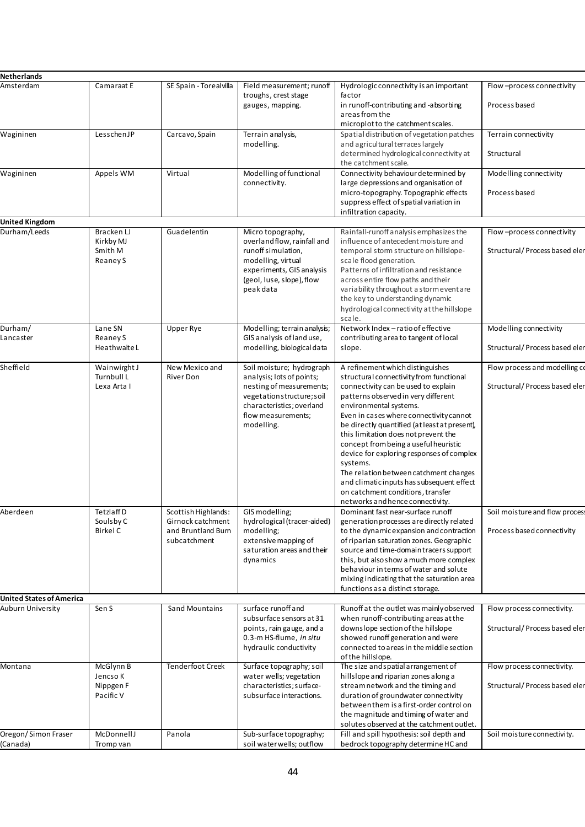| Netherlands                     |                                                 |                                                                               |                                                                                                                                                                     |                                                                                                                                                                                                                                                                                                                                                                                                                                                                                                                                                       |                                                              |
|---------------------------------|-------------------------------------------------|-------------------------------------------------------------------------------|---------------------------------------------------------------------------------------------------------------------------------------------------------------------|-------------------------------------------------------------------------------------------------------------------------------------------------------------------------------------------------------------------------------------------------------------------------------------------------------------------------------------------------------------------------------------------------------------------------------------------------------------------------------------------------------------------------------------------------------|--------------------------------------------------------------|
| Amsterdam                       | Camaraat E                                      | SE Spain - Torealvilla                                                        | Field measurement; runoff<br>troughs, crest stage                                                                                                                   | Hydrologic connectivity is an important<br>factor                                                                                                                                                                                                                                                                                                                                                                                                                                                                                                     | Flow -process connectivity                                   |
|                                 |                                                 |                                                                               | gauges, mapping.                                                                                                                                                    | in runoff-contributing and -absorbing<br>areas from the<br>microplot to the catchment scales.                                                                                                                                                                                                                                                                                                                                                                                                                                                         | Process based                                                |
| Wagininen                       | LesschenJP                                      | Carcavo, Spain                                                                | Terrain analysis,<br>modelling.                                                                                                                                     | Spatial distribution of vegetation patches<br>and agricultural terraces largely<br>determined hydrological connectivity at<br>the catchment scale.                                                                                                                                                                                                                                                                                                                                                                                                    | Terrain connectivity<br>Structural                           |
| Wagininen                       | Appels WM                                       | Virtual                                                                       | Modelling of functional<br>connectivity.                                                                                                                            | Connectivity behaviour determined by<br>large depressions and organisation of<br>micro-topography. Topographic effects<br>suppress effect of spatial variation in<br>infiltration capacity.                                                                                                                                                                                                                                                                                                                                                           | Modelling connectivity<br>Process based                      |
| United Kingdom                  |                                                 |                                                                               |                                                                                                                                                                     |                                                                                                                                                                                                                                                                                                                                                                                                                                                                                                                                                       |                                                              |
| Durham/Leeds                    | Bracken LJ<br>Kirkby MJ<br>Smith M<br>Reaney S  | Guadelentin                                                                   | Micro topography,<br>overland flow, rainfall and<br>runoff simulation,<br>modelling, virtual<br>experiments, GIS analysis<br>(geol, luse, slope), flow<br>peak data | Rainfall-runoff analysis emphasizes the<br>influence of antecedent moisture and<br>temporal storm structure on hillslope-<br>scale flood generation.<br>Patterns of infiltration and resistance<br>across entire flow paths and their<br>variability throughout a storm event are<br>the key to understanding dynamic<br>hydrological connectivity at the hillslope<br>scale.                                                                                                                                                                         | Flow -process connectivity<br>Structural/Process based eler  |
| Durham/                         | Lane SN                                         | Upper Rye                                                                     | Modelling; terrain analysis;                                                                                                                                        | Network Index-ratio of effective                                                                                                                                                                                                                                                                                                                                                                                                                                                                                                                      | Modelling connectivity                                       |
| Lancaster                       | Reaney S<br>Heathwaite L                        |                                                                               | GIS analysis of land use,<br>modelling, biological data                                                                                                             | contributing area to tangent of local<br>slope.                                                                                                                                                                                                                                                                                                                                                                                                                                                                                                       | Structural/Process based eler                                |
| Sheffield                       | Wainwirght J                                    | New Mexico and                                                                | Soil moisture; hydrograph                                                                                                                                           | A refinement which distinguishes                                                                                                                                                                                                                                                                                                                                                                                                                                                                                                                      | Flow process and modelling co                                |
|                                 | Turnbull L<br>Lexa Arta I                       | River Don                                                                     | analysis; lots of points;<br>nesting of measurements;<br>vegetationstructure; soil<br>characteristics; overland<br>flow measurements;<br>modelling.                 | structural connectivity from functional<br>connectivity can be used to explain<br>patterns observed in very different<br>environmental systems.<br>Even in cases where connectivity cannot<br>be directly quantified (at least at present),<br>this limitation does not prevent the<br>concept from being a useful heuristic<br>device for exploring responses of complex<br>systems.<br>The relation between catchment changes<br>and climatic inputs has subsequent effect<br>on catchment conditions, transfer<br>networks and hence connectivity. | Structural/Process based eler                                |
| Aberdeen                        | Tetzlaff D<br>Soulsby C<br>Birkel C             | Scottish Highlands:<br>Girnock catchment<br>and Bruntland Bum<br>subcatchment | GIS modelling;<br>hydrological (tracer-aided)<br>modelling;<br>extensive mapping of<br>saturation areas and their<br>dynamics                                       | Dominant fast near-surface runoff<br>generation processes are directly related<br>to the dynamic expansion and contraction<br>of riparian saturation zones. Geographic<br>source and time-domain tracers support<br>this, but also show a much more complex<br>behaviour in terms of water and solute<br>mixing indicating that the saturation area<br>functions as a distinct storage.                                                                                                                                                               | Soil moisture and flow proces.<br>Process based connectivity |
| <b>United States of America</b> |                                                 |                                                                               |                                                                                                                                                                     |                                                                                                                                                                                                                                                                                                                                                                                                                                                                                                                                                       |                                                              |
| Auburn University               | Sen S                                           | Sand Mountains                                                                | surface runoff and<br>subsurface sensors at 31<br>points, rain gauge, and a<br>0.3-m HS-flume, in situ<br>hydraulic conductivity                                    | Runoff at the outlet was mainly observed<br>when runoff-contributing areas at the<br>downslope section of the hillslope<br>showed runoff generation and were<br>connected to areas in the middle section<br>of the hillslope.                                                                                                                                                                                                                                                                                                                         | Flow process connectivity.<br>Structural/Process based eler  |
| Montana                         | McGlynn B<br>Jencso K<br>Nippgen F<br>Pacific V | <b>Tenderfoot Creek</b>                                                       | Surface topography; soil<br>water wells; vegetation<br>characteristics; surface-<br>subsurface interactions.                                                        | The size and spatial arrangement of<br>hillslope and riparian zones along a<br>stream network and the timing and<br>duration of groundwater connectivity<br>between them is a first-order control on<br>the magnitude and timing of water and<br>solutes observed at the catchment outlet.                                                                                                                                                                                                                                                            | Flow process connectivity.<br>Structural/Process based eler  |
| Oregon/Simon Fraser<br>(Canada) | McDonnellJ<br>Tromp van                         | Panola                                                                        | Sub-surface topography;<br>soil water wells; outflow                                                                                                                | Fill and spill hypothesis: soil depth and<br>bedrock topography determine HC and                                                                                                                                                                                                                                                                                                                                                                                                                                                                      | Soil moisture connectivity.                                  |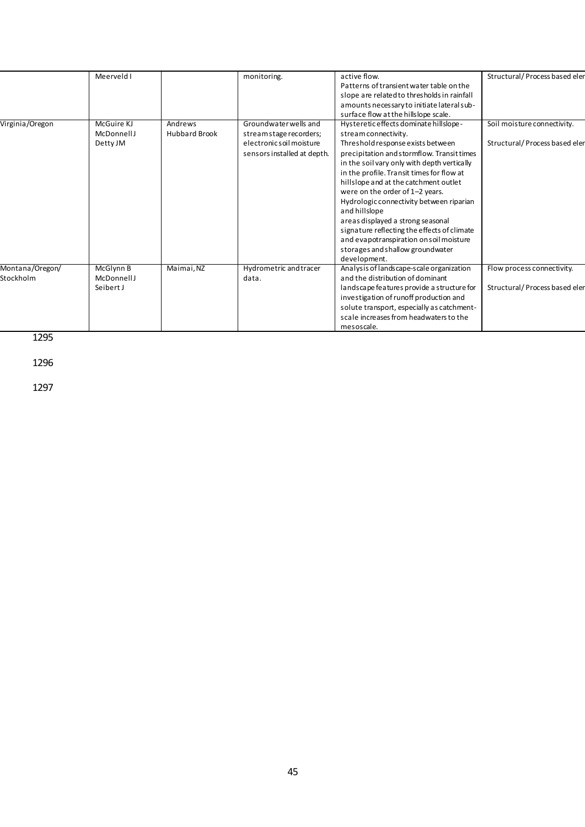|                              | Meerveld I               |                                 | monitoring.                                             | active flow.                                                                                                                                                                                                                                                                                                                                                                                                                                                                                            | Structural/Process based eler |
|------------------------------|--------------------------|---------------------------------|---------------------------------------------------------|---------------------------------------------------------------------------------------------------------------------------------------------------------------------------------------------------------------------------------------------------------------------------------------------------------------------------------------------------------------------------------------------------------------------------------------------------------------------------------------------------------|-------------------------------|
|                              |                          |                                 |                                                         | Patterns of transient water table on the<br>slope are related to thresholds in rainfall                                                                                                                                                                                                                                                                                                                                                                                                                 |                               |
|                              |                          |                                 |                                                         | amounts necessary to initiate lateral sub-<br>surface flow at the hillslope scale.                                                                                                                                                                                                                                                                                                                                                                                                                      |                               |
| Virginia/Oregon              | McGuire KJ<br>McDonnellJ | Andrews<br><b>Hubbard Brook</b> | Groundwater wells and<br>stream stage recorders;        | Hysteretic effects dominate hillslope-<br>stream connectivity.                                                                                                                                                                                                                                                                                                                                                                                                                                          | Soil moisture connectivity.   |
|                              | Detty JM                 |                                 | electronic soil moisture<br>sensors installed at depth. | Threshold response exists between<br>precipitation and stormflow. Transit times<br>in the soil vary only with depth vertically<br>in the profile. Transit times for flow at<br>hillslope and at the catchment outlet<br>were on the order of 1-2 years.<br>Hydrologic connectivity between riparian<br>and hillslope<br>areas displayed a strong seasonal<br>signature reflecting the effects of climate<br>and evapotranspiration on soil moisture<br>storages and shallow groundwater<br>development. | Structural/Process based eler |
| Montana/Oregon/<br>Stockholm | McGlynn B<br>McDonnellJ  | Maimai, NZ                      | Hydrometric and tracer<br>data.                         | Analysis of landscape-scale organization<br>and the distribution of dominant                                                                                                                                                                                                                                                                                                                                                                                                                            | Flow process connectivity.    |
|                              | Seibert J                |                                 |                                                         | landscape features provide a structure for<br>investigation of runoff production and                                                                                                                                                                                                                                                                                                                                                                                                                    | Structural/Process based eler |
|                              |                          |                                 |                                                         | solute transport, especially as catchment-<br>scale increases from headwaters to the<br>mesoscale.                                                                                                                                                                                                                                                                                                                                                                                                      |                               |

1296